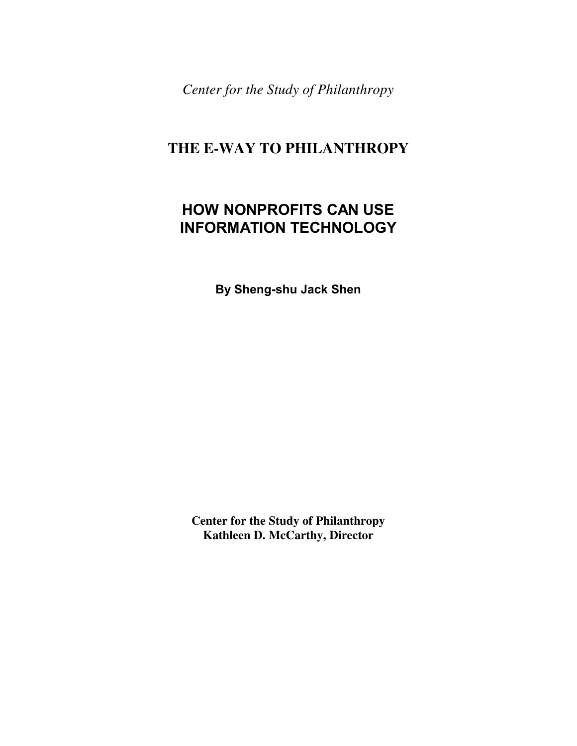*Center for the Study of Philanthropy* 

# **THE E-WAY TO PHILANTHROPY**

# **HOW NONPROFITS CAN USE INFORMATION TECHNOLOGY**

**By Sheng-shu Jack Shen** 

**Center for the Study of Philanthropy Kathleen D. McCarthy, Director**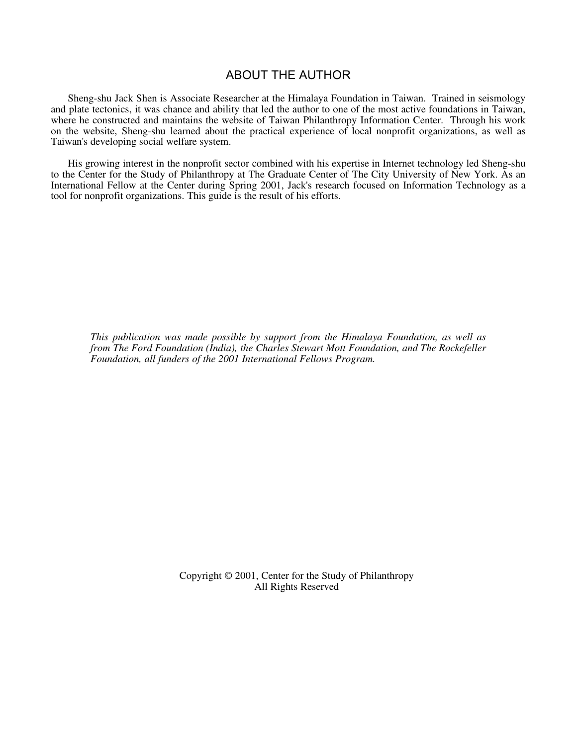# ABOUT THE AUTHOR

Sheng-shu Jack Shen is Associate Researcher at the Himalaya Foundation in Taiwan. Trained in seismology and plate tectonics, it was chance and ability that led the author to one of the most active foundations in Taiwan, where he constructed and maintains the website of Taiwan Philanthropy Information Center. Through his work on the website, Sheng-shu learned about the practical experience of local nonprofit organizations, as well as Taiwan's developing social welfare system.

His growing interest in the nonprofit sector combined with his expertise in Internet technology led Sheng-shu to the Center for the Study of Philanthropy at The Graduate Center of The City University of New York. As an International Fellow at the Center during Spring 2001, Jack's research focused on Information Technology as a tool for nonprofit organizations. This guide is the result of his efforts.

*This publication was made possible by support from the Himalaya Foundation, as well as from The Ford Foundation (India), the Charles Stewart Mott Foundation, and The Rockefeller Foundation, all funders of the 2001 International Fellows Program.*

> Copyright © 2001, Center for the Study of Philanthropy All Rights Reserved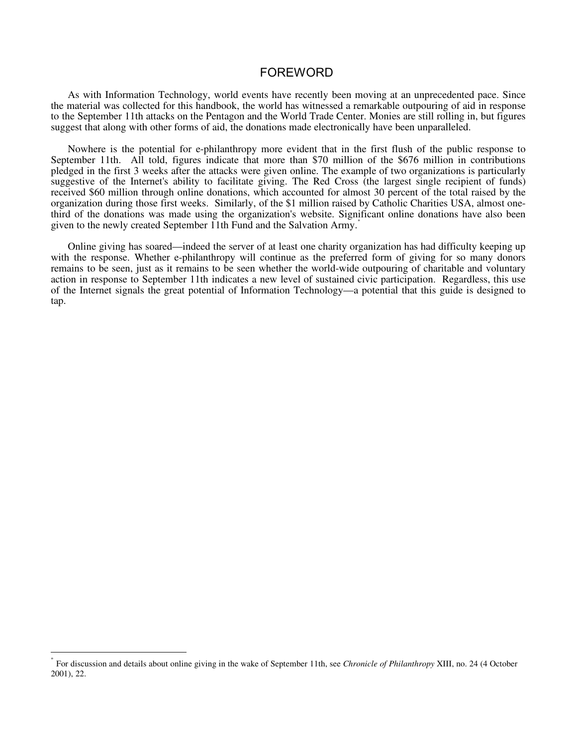# FOREWORD

As with Information Technology, world events have recently been moving at an unprecedented pace. Since the material was collected for this handbook, the world has witnessed a remarkable outpouring of aid in response to the September 11th attacks on the Pentagon and the World Trade Center. Monies are still rolling in, but figures suggest that along with other forms of aid, the donations made electronically have been unparalleled.

Nowhere is the potential for e-philanthropy more evident that in the first flush of the public response to September 11th. All told, figures indicate that more than \$70 million of the \$676 million in contributions pledged in the first 3 weeks after the attacks were given online. The example of two organizations is particularly suggestive of the Internet's ability to facilitate giving. The Red Cross (the largest single recipient of funds) received \$60 million through online donations, which accounted for almost 30 percent of the total raised by the organization during those first weeks. Similarly, of the \$1 million raised by Catholic Charities USA, almost onethird of the donations was made using the organization's website. Significant online donations have also been given to the newly created September 11th Fund and the Salvation Army.<sup>\*</sup>

Online giving has soared—indeed the server of at least one charity organization has had difficulty keeping up with the response. Whether e-philanthropy will continue as the preferred form of giving for so many donors remains to be seen, just as it remains to be seen whether the world-wide outpouring of charitable and voluntary action in response to September 11th indicates a new level of sustained civic participation. Regardless, this use of the Internet signals the great potential of Information Technology—a potential that this guide is designed to tap.

 $\overline{a}$ 

<sup>\*</sup> For discussion and details about online giving in the wake of September 11th, see *Chronicle of Philanthropy* XIII, no. 24 (4 October 2001), 22.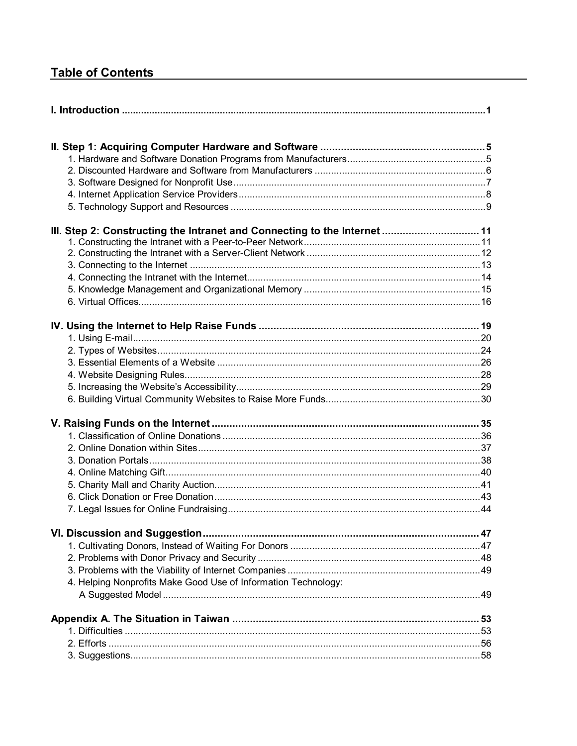# **Table of Contents**

| 4. Helping Nonprofits Make Good Use of Information Technology: |  |
|----------------------------------------------------------------|--|
|                                                                |  |
|                                                                |  |
|                                                                |  |
|                                                                |  |
|                                                                |  |
|                                                                |  |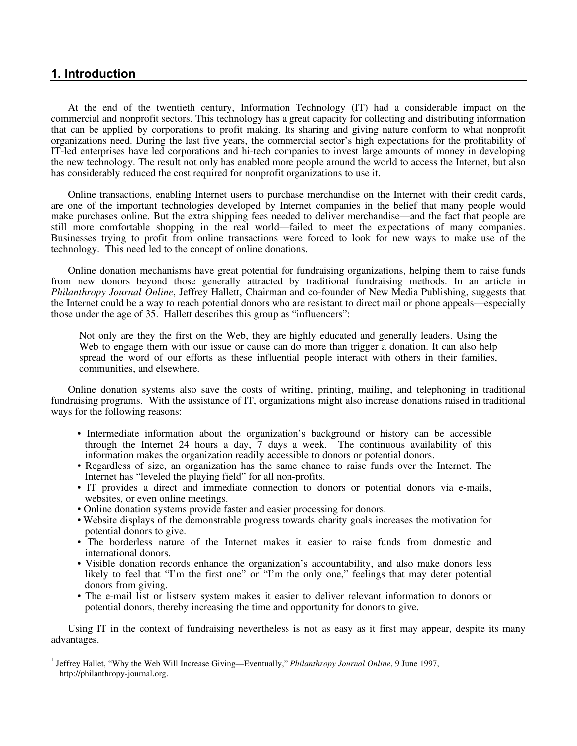# **1. Introduction**

 $\frac{1}{1}$ 

At the end of the twentieth century, Information Technology (IT) had a considerable impact on the commercial and nonprofit sectors. This technology has a great capacity for collecting and distributing information that can be applied by corporations to profit making. Its sharing and giving nature conform to what nonprofit organizations need. During the last five years, the commercial sector's high expectations for the profitability of IT-led enterprises have led corporations and hi-tech companies to invest large amounts of money in developing the new technology. The result not only has enabled more people around the world to access the Internet, but also has considerably reduced the cost required for nonprofit organizations to use it.

Online transactions, enabling Internet users to purchase merchandise on the Internet with their credit cards, are one of the important technologies developed by Internet companies in the belief that many people would make purchases online. But the extra shipping fees needed to deliver merchandise—and the fact that people are still more comfortable shopping in the real world—failed to meet the expectations of many companies. Businesses trying to profit from online transactions were forced to look for new ways to make use of the technology. This need led to the concept of online donations.

Online donation mechanisms have great potential for fundraising organizations, helping them to raise funds from new donors beyond those generally attracted by traditional fundraising methods. In an article in *Philanthropy Journal Online*, Jeffrey Hallett, Chairman and co-founder of New Media Publishing, suggests that the Internet could be a way to reach potential donors who are resistant to direct mail or phone appeals—especially those under the age of 35. Hallett describes this group as "influencers":

Not only are they the first on the Web, they are highly educated and generally leaders. Using the Web to engage them with our issue or cause can do more than trigger a donation. It can also help spread the word of our efforts as these influential people interact with others in their families, communities, and elsewhere.<sup>1</sup>

Online donation systems also save the costs of writing, printing, mailing, and telephoning in traditional fundraising programs. With the assistance of IT, organizations might also increase donations raised in traditional ways for the following reasons:

- Intermediate information about the organization's background or history can be accessible through the Internet 24 hours a day, 7 days a week. The continuous availability of this information makes the organization readily accessible to donors or potential donors.
- Regardless of size, an organization has the same chance to raise funds over the Internet. The Internet has "leveled the playing field" for all non-profits.
- IT provides a direct and immediate connection to donors or potential donors via e-mails, websites, or even online meetings.
- Online donation systems provide faster and easier processing for donors.
- Website displays of the demonstrable progress towards charity goals increases the motivation for potential donors to give.
- The borderless nature of the Internet makes it easier to raise funds from domestic and international donors.
- Visible donation records enhance the organization's accountability, and also make donors less likely to feel that "I'm the first one" or "I'm the only one," feelings that may deter potential donors from giving.
- The e-mail list or listserv system makes it easier to deliver relevant information to donors or potential donors, thereby increasing the time and opportunity for donors to give.

Using IT in the context of fundraising nevertheless is not as easy as it first may appear, despite its many advantages.

<sup>1</sup> Jeffrey Hallet, "Why the Web Will Increase Giving—Eventually," *Philanthropy Journal Online*, 9 June 1997, http://philanthropy-journal.org.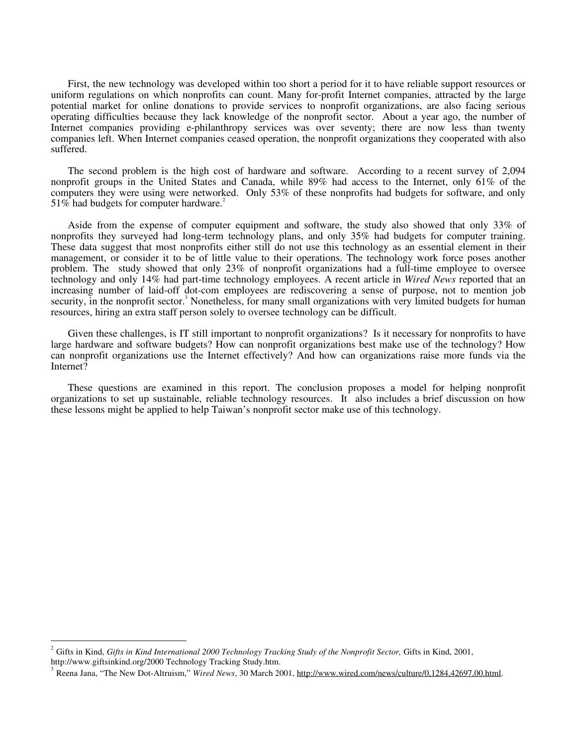First, the new technology was developed within too short a period for it to have reliable support resources or uniform regulations on which nonprofits can count. Many for-profit Internet companies, attracted by the large potential market for online donations to provide services to nonprofit organizations, are also facing serious operating difficulties because they lack knowledge of the nonprofit sector. About a year ago, the number of Internet companies providing e-philanthropy services was over seventy; there are now less than twenty companies left. When Internet companies ceased operation, the nonprofit organizations they cooperated with also suffered.

The second problem is the high cost of hardware and software. According to a recent survey of 2,094 nonprofit groups in the United States and Canada, while 89% had access to the Internet, only 61% of the computers they were using were networked. Only 53% of these nonprofits had budgets for software, and only  $51\%$  had budgets for computer hardware.<sup>2</sup>

Aside from the expense of computer equipment and software, the study also showed that only 33% of nonprofits they surveyed had long-term technology plans, and only 35% had budgets for computer training. These data suggest that most nonprofits either still do not use this technology as an essential element in their management, or consider it to be of little value to their operations. The technology work force poses another problem. The study showed that only 23% of nonprofit organizations had a full-time employee to oversee technology and only 14% had part-time technology employees. A recent article in *Wired News* reported that an increasing number of laid-off dot-com employees are rediscovering a sense of purpose, not to mention job security, in the nonprofit sector.<sup>3</sup> Nonetheless, for many small organizations with very limited budgets for human resources, hiring an extra staff person solely to oversee technology can be difficult.

Given these challenges, is IT still important to nonprofit organizations? Is it necessary for nonprofits to have large hardware and software budgets? How can nonprofit organizations best make use of the technology? How can nonprofit organizations use the Internet effectively? And how can organizations raise more funds via the Internet?

These questions are examined in this report. The conclusion proposes a model for helping nonprofit organizations to set up sustainable, reliable technology resources. It also includes a brief discussion on how these lessons might be applied to help Taiwan's nonprofit sector make use of this technology.

-

<sup>2</sup> Gifts in Kind, *Gifts in Kind International 2000 Technology Tracking Study of the Nonprofit Sector,* Gifts in Kind, 2001, http://www.giftsinkind.org/2000 Technology Tracking Study.htm.<br><sup>3</sup> Reena Jana, "The New Dot-Altruism," *Wired News*, 30 March 2001, http://www.wired.com/news/culture/0,1284,42697,00.html.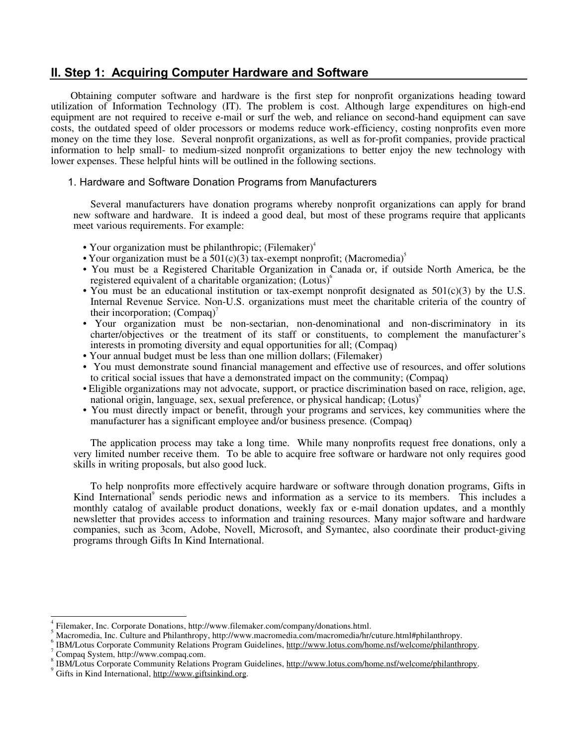# **II. Step 1: Acquiring Computer Hardware and Software**

 Obtaining computer software and hardware is the first step for nonprofit organizations heading toward utilization of Information Technology (IT). The problem is cost. Although large expenditures on high-end equipment are not required to receive e-mail or surf the web, and reliance on second-hand equipment can save costs, the outdated speed of older processors or modems reduce work-efficiency, costing nonprofits even more money on the time they lose. Several nonprofit organizations, as well as for-profit companies, provide practical information to help small- to medium-sized nonprofit organizations to better enjoy the new technology with lower expenses. These helpful hints will be outlined in the following sections.

# 1. Hardware and Software Donation Programs from Manufacturers

Several manufacturers have donation programs whereby nonprofit organizations can apply for brand new software and hardware. It is indeed a good deal, but most of these programs require that applicants meet various requirements. For example:

- Your organization must be philanthropic; (Filemaker) $<sup>4</sup>$ </sup>
- Your organization must be a  $501(c)(3)$  tax-exempt nonprofit; (Macromedia)<sup>5</sup>
- You must be a Registered Charitable Organization in Canada or, if outside North America, be the registered equivalent of a charitable organization;  $(Lotus)$ <sup>6</sup>
- You must be an educational institution or tax-exempt nonprofit designated as  $501(c)(3)$  by the U.S. Internal Revenue Service. Non-U.S. organizations must meet the charitable criteria of the country of their incorporation;  $(Compaq)$ <sup>7</sup>
- Your organization must be non-sectarian, non-denominational and non-discriminatory in its charter/objectives or the treatment of its staff or constituents, to complement the manufacturer's interests in promoting diversity and equal opportunities for all; (Compaq)
- Your annual budget must be less than one million dollars; (Filemaker)
- You must demonstrate sound financial management and effective use of resources, and offer solutions to critical social issues that have a demonstrated impact on the community; (Compaq)
- Eligible organizations may not advocate, support, or practice discrimination based on race, religion, age, national origin, language, sex, sexual preference, or physical handicap;  $(Lotus)^8$
- You must directly impact or benefit, through your programs and services, key communities where the manufacturer has a significant employee and/or business presence. (Compaq)

The application process may take a long time. While many nonprofits request free donations, only a very limited number receive them. To be able to acquire free software or hardware not only requires good skills in writing proposals, but also good luck.

To help nonprofits more effectively acquire hardware or software through donation programs, Gifts in Kind International<sup>9</sup> sends periodic news and information as a service to its members. This includes a monthly catalog of available product donations, weekly fax or e-mail donation updates, and a monthly newsletter that provides access to information and training resources. Many major software and hardware companies, such as 3com, Adobe, Novell, Microsoft, and Symantec, also coordinate their product-giving programs through Gifts In Kind International.

 $\overline{a}$ 

<sup>4</sup>

Filemaker, Inc. Corporate Donations, http://www.filemaker.com/company/donations.html.<br>Macromedia, Inc. Culture and Philanthropy, http://www.macromedia.com/macromedia/hr/cuture.html#philanthropy.

IBM/Lotus Corporate Community Relations Program Guidelines, http://www.lotus.com/home.nsf/welcome/philanthropy. Compaq System, http://www.compaq.com. 8

IBM/Lotus Corporate Community Relations Program Guidelines, http://www.lotus.com/home.nsf/welcome/philanthropy.

Gifts in Kind International, http://www.giftsinkind.org.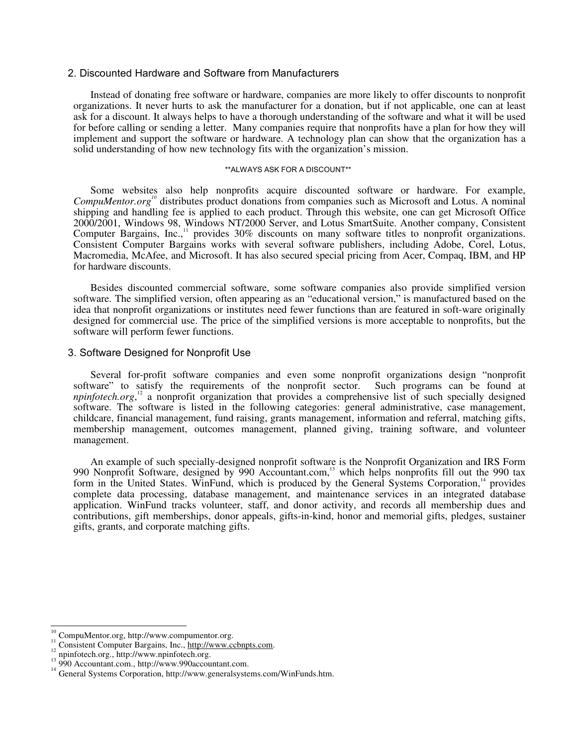## 2. Discounted Hardware and Software from Manufacturers

Instead of donating free software or hardware, companies are more likely to offer discounts to nonprofit organizations. It never hurts to ask the manufacturer for a donation, but if not applicable, one can at least ask for a discount. It always helps to have a thorough understanding of the software and what it will be used for before calling or sending a letter. Many companies require that nonprofits have a plan for how they will implement and support the software or hardware. A technology plan can show that the organization has a solid understanding of how new technology fits with the organization's mission.

#### \*\*ALWAYS ASK FOR A DISCOUNT\*\*

Some websites also help nonprofits acquire discounted software or hardware. For example, *CompuMentor.org10* distributes product donations from companies such as Microsoft and Lotus. A nominal shipping and handling fee is applied to each product. Through this website, one can get Microsoft Office 2000/2001, Windows 98, Windows NT/2000 Server, and Lotus SmartSuite. Another company, Consistent Computer Bargains, Inc.,<sup>11</sup> provides 30% discounts on many software titles to nonprofit organizations. Consistent Computer Bargains works with several software publishers, including Adobe, Corel, Lotus, Macromedia, McAfee, and Microsoft. It has also secured special pricing from Acer, Compaq, IBM, and HP for hardware discounts.

Besides discounted commercial software, some software companies also provide simplified version software. The simplified version, often appearing as an "educational version," is manufactured based on the idea that nonprofit organizations or institutes need fewer functions than are featured in soft-ware originally designed for commercial use. The price of the simplified versions is more acceptable to nonprofits, but the software will perform fewer functions.

#### 3. Software Designed for Nonprofit Use

Several for-profit software companies and even some nonprofit organizations design "nonprofit software" to satisfy the requirements of the nonprofit sector. Such programs can be found at *npinfotech.org*,<sup>12</sup> a nonprofit organization that provides a comprehensive list of such specially designed software. The software is listed in the following categories: general administrative, case management, childcare, financial management, fund raising, grants management, information and referral, matching gifts, membership management, outcomes management, planned giving, training software, and volunteer management.

An example of such specially-designed nonprofit software is the Nonprofit Organization and IRS Form 990 Nonprofit Software, designed by 990 Accountant.com,<sup>13</sup> which helps nonprofits fill out the 990 tax form in the United States. WinFund, which is produced by the General Systems Corporation,<sup>14</sup> provides complete data processing, database management, and maintenance services in an integrated database application. WinFund tracks volunteer, staff, and donor activity, and records all membership dues and contributions, gift memberships, donor appeals, gifts-in-kind, honor and memorial gifts, pledges, sustainer gifts, grants, and corporate matching gifts.

 $\frac{1}{1}$ 

<sup>&</sup>lt;sup>10</sup> CompuMentor.org, http://www.compumentor.org.<br><sup>11</sup> Consistent Computer Bargains, Inc., <u>http://www.ccbnpts.com</u>.<br><sup>12</sup> npinfotech.org., http://www.npinfotech.org.<br><sup>13</sup> 990 Accountant.com., http://www.990accountant.com.<br>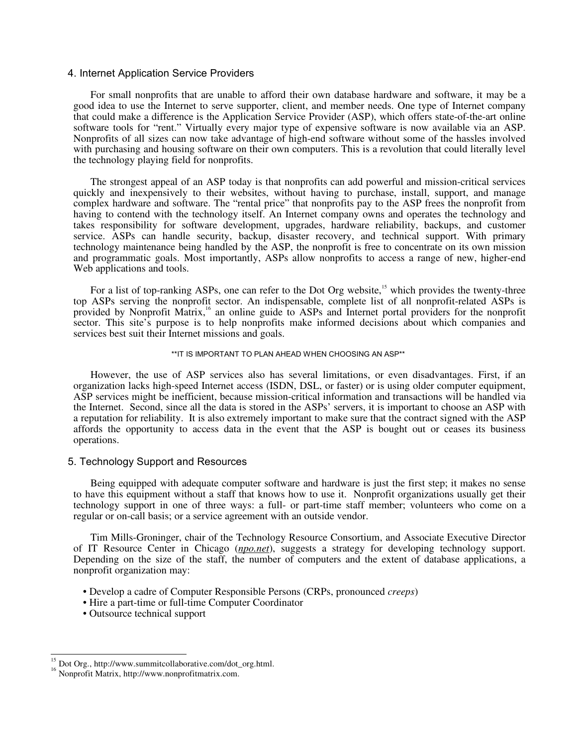# 4. Internet Application Service Providers

For small nonprofits that are unable to afford their own database hardware and software, it may be a good idea to use the Internet to serve supporter, client, and member needs. One type of Internet company that could make a difference is the Application Service Provider (ASP), which offers state-of-the-art online software tools for "rent." Virtually every major type of expensive software is now available via an ASP. Nonprofits of all sizes can now take advantage of high-end software without some of the hassles involved with purchasing and housing software on their own computers. This is a revolution that could literally level the technology playing field for nonprofits.

The strongest appeal of an ASP today is that nonprofits can add powerful and mission-critical services quickly and inexpensively to their websites, without having to purchase, install, support, and manage complex hardware and software. The "rental price" that nonprofits pay to the ASP frees the nonprofit from having to contend with the technology itself. An Internet company owns and operates the technology and takes responsibility for software development, upgrades, hardware reliability, backups, and customer service. ASPs can handle security, backup, disaster recovery, and technical support. With primary technology maintenance being handled by the ASP, the nonprofit is free to concentrate on its own mission and programmatic goals. Most importantly, ASPs allow nonprofits to access a range of new, higher-end Web applications and tools.

For a list of top-ranking ASPs, one can refer to the Dot Org website,<sup>15</sup> which provides the twenty-three top ASPs serving the nonprofit sector. An indispensable, complete list of all nonprofit-related ASPs is provided by Nonprofit Matrix,16 an online guide to ASPs and Internet portal providers for the nonprofit sector. This site's purpose is to help nonprofits make informed decisions about which companies and services best suit their Internet missions and goals.

#### \*\*IT IS IMPORTANT TO PLAN AHEAD WHEN CHOOSING AN ASP\*\*

However, the use of ASP services also has several limitations, or even disadvantages. First, if an organization lacks high-speed Internet access (ISDN, DSL, or faster) or is using older computer equipment, ASP services might be inefficient, because mission-critical information and transactions will be handled via the Internet. Second, since all the data is stored in the ASPs' servers, it is important to choose an ASP with a reputation for reliability. It is also extremely important to make sure that the contract signed with the ASP affords the opportunity to access data in the event that the ASP is bought out or ceases its business operations.

# 5. Technology Support and Resources

Being equipped with adequate computer software and hardware is just the first step; it makes no sense to have this equipment without a staff that knows how to use it. Nonprofit organizations usually get their technology support in one of three ways: a full- or part-time staff member; volunteers who come on a regular or on-call basis; or a service agreement with an outside vendor.

Tim Mills-Groninger, chair of the Technology Resource Consortium, and Associate Executive Director of IT Resource Center in Chicago (*npo.net*), suggests a strategy for developing technology support. Depending on the size of the staff, the number of computers and the extent of database applications, a nonprofit organization may:

- Develop a cadre of Computer Responsible Persons (CRPs, pronounced *creeps*)
- Hire a part-time or full-time Computer Coordinator
- Outsource technical support

 $\frac{1}{1}$ 

<sup>15</sup> Dot Org., http://www.summitcollaborative.com/dot\_org.html. <sup>16</sup> Nonprofit Matrix, http://www.nonprofitmatrix.com.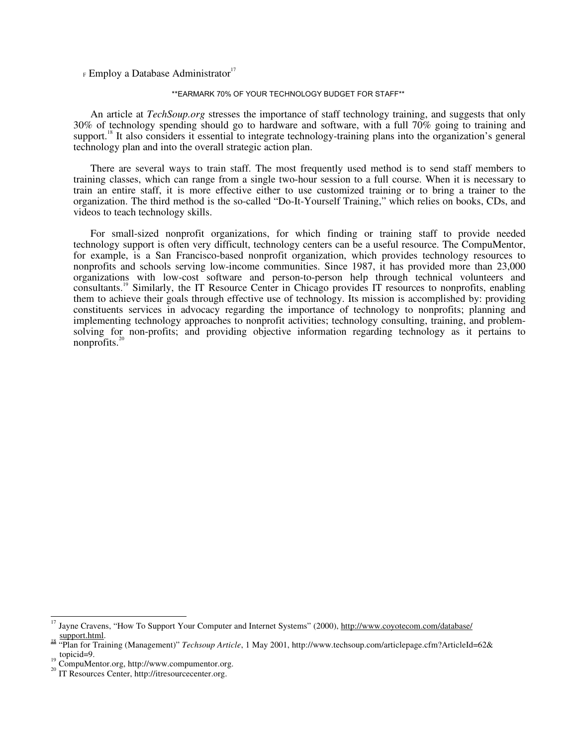$F$  Employ a Database Administrator<sup>17</sup>

#### \*\*EARMARK 70% OF YOUR TECHNOLOGY BUDGET FOR STAFF\*\*

An article at *TechSoup.org* stresses the importance of staff technology training, and suggests that only 30% of technology spending should go to hardware and software, with a full 70% going to training and support.<sup>18</sup> It also considers it essential to integrate technology-training plans into the organization's general technology plan and into the overall strategic action plan.

There are several ways to train staff. The most frequently used method is to send staff members to training classes, which can range from a single two-hour session to a full course. When it is necessary to train an entire staff, it is more effective either to use customized training or to bring a trainer to the organization. The third method is the so-called "Do-It-Yourself Training," which relies on books, CDs, and videos to teach technology skills.

For small-sized nonprofit organizations, for which finding or training staff to provide needed technology support is often very difficult, technology centers can be a useful resource. The CompuMentor, for example, is a San Francisco-based nonprofit organization, which provides technology resources to nonprofits and schools serving low-income communities. Since 1987, it has provided more than 23,000 organizations with low-cost software and person-to-person help through technical volunteers and consultants.19 Similarly, the IT Resource Center in Chicago provides IT resources to nonprofits, enabling them to achieve their goals through effective use of technology. Its mission is accomplished by: providing constituents services in advocacy regarding the importance of technology to nonprofits; planning and implementing technology approaches to nonprofit activities; technology consulting, training, and problemsolving for non-profits; and providing objective information regarding technology as it pertains to nonprofits. $20$ 

 $\frac{1}{4}$ 

<sup>17</sup> Jayne Cravens, "How To Support Your Computer and Internet Systems" (2000), http://www.coyotecom.com/database/

support.html.<br>
<sup>18</sup> "Plan for Training (Management)" *Techsoup Article*, 1 May 2001, http://www.techsoup.com/articlepage.cfm?ArticleId=62&<br>
<sup>19</sup> CompuMantar set http://

 $t_{20}^{19}$  CompuMentor.org, http://www.compumentor.org. IT Resources Center, http://itresourcecenter.org.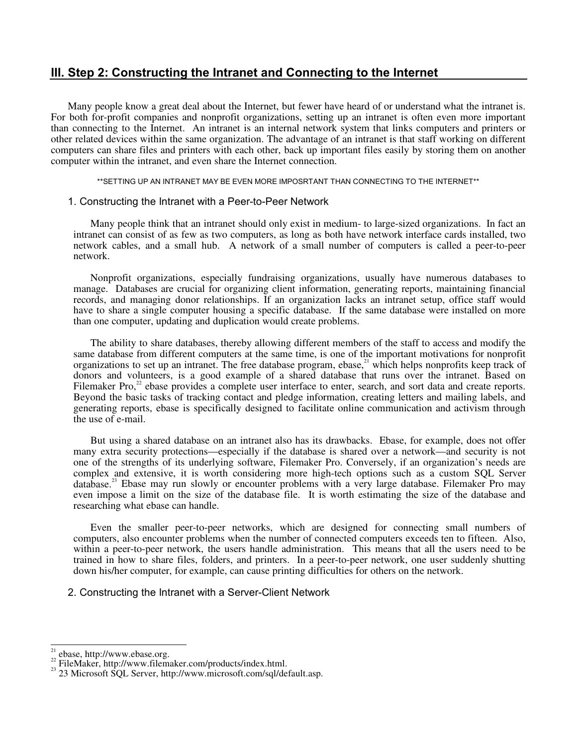# **III. Step 2: Constructing the Intranet and Connecting to the Internet**

Many people know a great deal about the Internet, but fewer have heard of or understand what the intranet is. For both for-profit companies and nonprofit organizations, setting up an intranet is often even more important than connecting to the Internet. An intranet is an internal network system that links computers and printers or other related devices within the same organization. The advantage of an intranet is that staff working on different computers can share files and printers with each other, back up important files easily by storing them on another computer within the intranet, and even share the Internet connection.

\*\*SETTING UP AN INTRANET MAY BE EVEN MORE IMPOSRTANT THAN CONNECTING TO THE INTERNET\*\*

# 1. Constructing the Intranet with a Peer-to-Peer Network

Many people think that an intranet should only exist in medium- to large-sized organizations. In fact an intranet can consist of as few as two computers, as long as both have network interface cards installed, two network cables, and a small hub. A network of a small number of computers is called a peer-to-peer network.

Nonprofit organizations, especially fundraising organizations, usually have numerous databases to manage. Databases are crucial for organizing client information, generating reports, maintaining financial records, and managing donor relationships. If an organization lacks an intranet setup, office staff would have to share a single computer housing a specific database. If the same database were installed on more than one computer, updating and duplication would create problems.

The ability to share databases, thereby allowing different members of the staff to access and modify the same database from different computers at the same time, is one of the important motivations for nonprofit organizations to set up an intranet. The free database program, ebase,<sup>21</sup> which helps nonprofits keep track of donors and volunteers, is a good example of a shared database that runs over the intranet. Based on Filemaker Pro,<sup>22</sup> ebase provides a complete user interface to enter, search, and sort data and create reports. Beyond the basic tasks of tracking contact and pledge information, creating letters and mailing labels, and generating reports, ebase is specifically designed to facilitate online communication and activism through the use of e-mail.

But using a shared database on an intranet also has its drawbacks. Ebase, for example, does not offer many extra security protections—especially if the database is shared over a network—and security is not one of the strengths of its underlying software, Filemaker Pro. Conversely, if an organization's needs are complex and extensive, it is worth considering more high-tech options such as a custom SQL Server database.<sup>23</sup> Ebase may run slowly or encounter problems with a very large database. Filemaker Pro may even impose a limit on the size of the database file. It is worth estimating the size of the database and researching what ebase can handle.

Even the smaller peer-to-peer networks, which are designed for connecting small numbers of computers, also encounter problems when the number of connected computers exceeds ten to fifteen. Also, within a peer-to-peer network, the users handle administration. This means that all the users need to be trained in how to share files, folders, and printers. In a peer-to-peer network, one user suddenly shutting down his/her computer, for example, can cause printing difficulties for others on the network.

# 2. Constructing the Intranet with a Server-Client Network

 $\overline{a}$ 

<sup>&</sup>lt;sup>21</sup> ebase, http://www.ebase.org.<br><sup>22</sup> FileMaker, http://www.filemaker.com/products/index.html.<br><sup>23</sup> 23 Microsoft SQL Server, http://www.microsoft.com/sql/default.asp.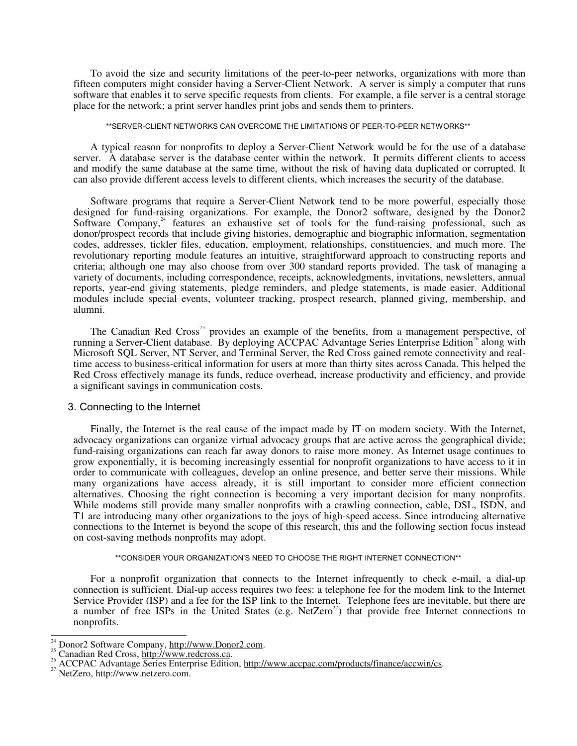To avoid the size and security limitations of the peer-to-peer networks, organizations with more than fifteen computers might consider having a Server-Client Network. A server is simply a computer that runs software that enables it to serve specific requests from clients. For example, a file server is a central storage place for the network; a print server handles print jobs and sends them to printers.

\*\*SERVER-CLIENT NETWORKS CAN OVERCOME THE LIMITATIONS OF PEER-TO-PEER NETWORKS\*\*

A typical reason for nonprofits to deploy a Server-Client Network would be for the use of a database server. A database server is the database center within the network. It permits different clients to access and modify the same database at the same time, without the risk of having data duplicated or corrupted. It can also provide different access levels to different clients, which increases the security of the database.

Software programs that require a Server-Client Network tend to be more powerful, especially those designed for fund-raising organizations. For example, the Donor2 software, designed by the Donor2 Software Company,<sup>24</sup> features an exhaustive set of tools for the fund-raising professional, such as donor/prospect records that include giving histories, demographic and biographic information, segmentation codes, addresses, tickler files, education, employment, relationships, constituencies, and much more. The revolutionary reporting module features an intuitive, straightforward approach to constructing reports and criteria; although one may also choose from over 300 standard reports provided. The task of managing a variety of documents, including correspondence, receipts, acknowledgments, invitations, newsletters, annual reports, year-end giving statements, pledge reminders, and pledge statements, is made easier. Additional modules include special events, volunteer tracking, prospect research, planned giving, membership, and alumni.

The Canadian Red Cross<sup>25</sup> provides an example of the benefits, from a management perspective, of running a Server-Client database. By deploying ACCPAC Advantage Series Enterprise Edition<sup>26</sup> along with Microsoft SQL Server, NT Server, and Terminal Server, the Red Cross gained remote connectivity and realtime access to business-critical information for users at more than thirty sites across Canada. This helped the Red Cross effectively manage its funds, reduce overhead, increase productivity and efficiency, and provide a significant savings in communication costs.

#### 3. Connecting to the Internet

Finally, the Internet is the real cause of the impact made by IT on modern society. With the Internet, advocacy organizations can organize virtual advocacy groups that are active across the geographical divide; fund-raising organizations can reach far away donors to raise more money. As Internet usage continues to grow exponentially, it is becoming increasingly essential for nonprofit organizations to have access to it in order to communicate with colleagues, develop an online presence, and better serve their missions. While many organizations have access already, it is still important to consider more efficient connection alternatives. Choosing the right connection is becoming a very important decision for many nonprofits. While modems still provide many smaller nonprofits with a crawling connection, cable, DSL, ISDN, and T1 are introducing many other organizations to the joys of high-speed access. Since introducing alternative connections to the Internet is beyond the scope of this research, this and the following section focus instead on cost-saving methods nonprofits may adopt.

#### \*\*CONSIDER YOUR ORGANIZATION'S NEED TO CHOOSE THE RIGHT INTERNET CONNECTION\*\*

For a nonprofit organization that connects to the Internet infrequently to check e-mail, a dial-up connection is sufficient. Dial-up access requires two fees: a telephone fee for the modem link to the Internet Service Provider (ISP) and a fee for the ISP link to the Internet. Telephone fees are inevitable, but there are a number of free ISPs in the United States (e.g. NetZero<sup>27</sup>) that provide free Internet connections to nonprofits.

 $\overline{a}$ 

<sup>&</sup>lt;sup>24</sup> Donor2 Software Company, http://www.Donor2.com.<br><sup>25</sup> Canadian Red Cross, <u>http://www.redcross.ca</u>.<br><sup>26</sup> ACCPAC Advantage Series Enterprise Edition, <u>http://www.accpac.com/products/finance/accwin/cs</u>.<br><sup>27</sup> NetZero, htt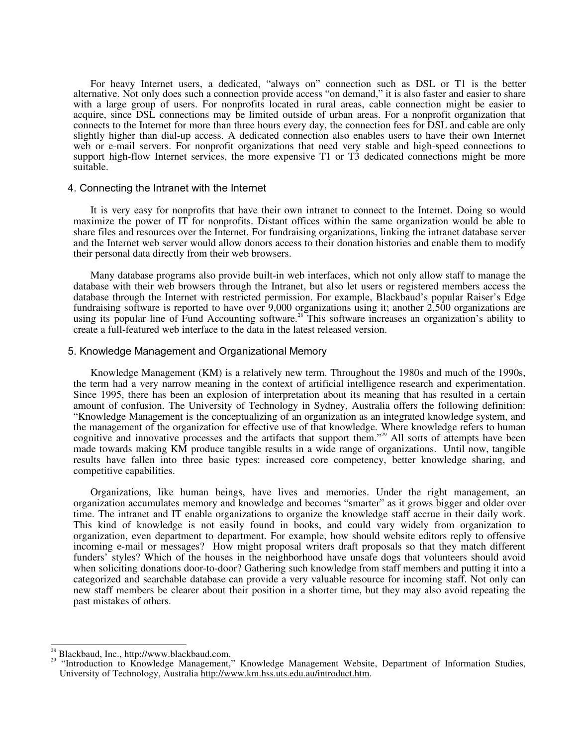For heavy Internet users, a dedicated, "always on" connection such as DSL or T1 is the better alternative. Not only does such a connection provide access "on demand," it is also faster and easier to share with a large group of users. For nonprofits located in rural areas, cable connection might be easier to acquire, since DSL connections may be limited outside of urban areas. For a nonprofit organization that connects to the Internet for more than three hours every day, the connection fees for DSL and cable are only slightly higher than dial-up access. A dedicated connection also enables users to have their own Internet web or e-mail servers. For nonprofit organizations that need very stable and high-speed connections to support high-flow Internet services, the more expensive T1 or T3 dedicated connections might be more suitable.

#### 4. Connecting the Intranet with the Internet

It is very easy for nonprofits that have their own intranet to connect to the Internet. Doing so would maximize the power of IT for nonprofits. Distant offices within the same organization would be able to share files and resources over the Internet. For fundraising organizations, linking the intranet database server and the Internet web server would allow donors access to their donation histories and enable them to modify their personal data directly from their web browsers.

Many database programs also provide built-in web interfaces, which not only allow staff to manage the database with their web browsers through the Intranet, but also let users or registered members access the database through the Internet with restricted permission. For example, Blackbaud's popular Raiser's Edge fundraising software is reported to have over 9,000 organizations using it; another 2,500 organizations are using its popular line of Fund Accounting software.<sup>28</sup> This software increases an organization's ability to create a full-featured web interface to the data in the latest released version.

#### 5. Knowledge Management and Organizational Memory

Knowledge Management (KM) is a relatively new term. Throughout the 1980s and much of the 1990s, the term had a very narrow meaning in the context of artificial intelligence research and experimentation. Since 1995, there has been an explosion of interpretation about its meaning that has resulted in a certain amount of confusion. The University of Technology in Sydney, Australia offers the following definition: "Knowledge Management is the conceptualizing of an organization as an integrated knowledge system, and the management of the organization for effective use of that knowledge. Where knowledge refers to human cognitive and innovative processes and the artifacts that support them."<sup>29</sup> All sorts of attempts have been made towards making KM produce tangible results in a wide range of organizations. Until now, tangible results have fallen into three basic types: increased core competency, better knowledge sharing, and competitive capabilities.

Organizations, like human beings, have lives and memories. Under the right management, an organization accumulates memory and knowledge and becomes "smarter" as it grows bigger and older over time. The intranet and IT enable organizations to organize the knowledge staff accrue in their daily work. This kind of knowledge is not easily found in books, and could vary widely from organization to organization, even department to department. For example, how should website editors reply to offensive incoming e-mail or messages? How might proposal writers draft proposals so that they match different funders' styles? Which of the houses in the neighborhood have unsafe dogs that volunteers should avoid when soliciting donations door-to-door? Gathering such knowledge from staff members and putting it into a categorized and searchable database can provide a very valuable resource for incoming staff. Not only can new staff members be clearer about their position in a shorter time, but they may also avoid repeating the past mistakes of others.

 $\overline{a}$ 

<sup>&</sup>lt;sup>26</sup> Blackbaud, Inc., http://www.blackbaud.com.<br><sup>29</sup> "Introduction to Knowledge Management," Knowledge Management Website, Department of Information Studies, University of Technology, Australia http://www.km.hss.uts.edu.au/introduct.htm.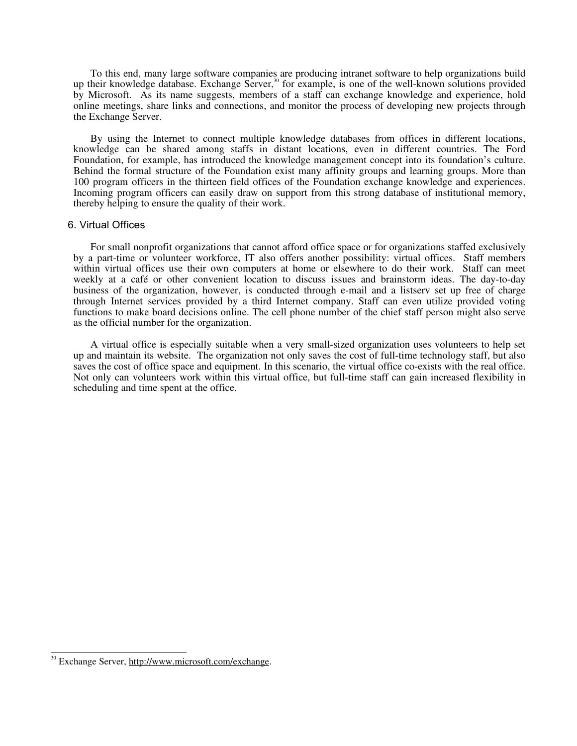To this end, many large software companies are producing intranet software to help organizations build up their knowledge database. Exchange Server,<sup>30</sup> for example, is one of the well-known solutions provided by Microsoft. As its name suggests, members of a staff can exchange knowledge and experience, hold online meetings, share links and connections, and monitor the process of developing new projects through the Exchange Server.

By using the Internet to connect multiple knowledge databases from offices in different locations, knowledge can be shared among staffs in distant locations, even in different countries. The Ford Foundation, for example, has introduced the knowledge management concept into its foundation's culture. Behind the formal structure of the Foundation exist many affinity groups and learning groups. More than 100 program officers in the thirteen field offices of the Foundation exchange knowledge and experiences. Incoming program officers can easily draw on support from this strong database of institutional memory, thereby helping to ensure the quality of their work.

#### 6. Virtual Offices

For small nonprofit organizations that cannot afford office space or for organizations staffed exclusively by a part-time or volunteer workforce, IT also offers another possibility: virtual offices. Staff members within virtual offices use their own computers at home or elsewhere to do their work. Staff can meet weekly at a café or other convenient location to discuss issues and brainstorm ideas. The day-to-day business of the organization, however, is conducted through e-mail and a listserv set up free of charge through Internet services provided by a third Internet company. Staff can even utilize provided voting functions to make board decisions online. The cell phone number of the chief staff person might also serve as the official number for the organization.

A virtual office is especially suitable when a very small-sized organization uses volunteers to help set up and maintain its website. The organization not only saves the cost of full-time technology staff, but also saves the cost of office space and equipment. In this scenario, the virtual office co-exists with the real office. Not only can volunteers work within this virtual office, but full-time staff can gain increased flexibility in scheduling and time spent at the office.

 $\frac{1}{2}$ 

<sup>&</sup>lt;sup>30</sup> Exchange Server, http://www.microsoft.com/exchange.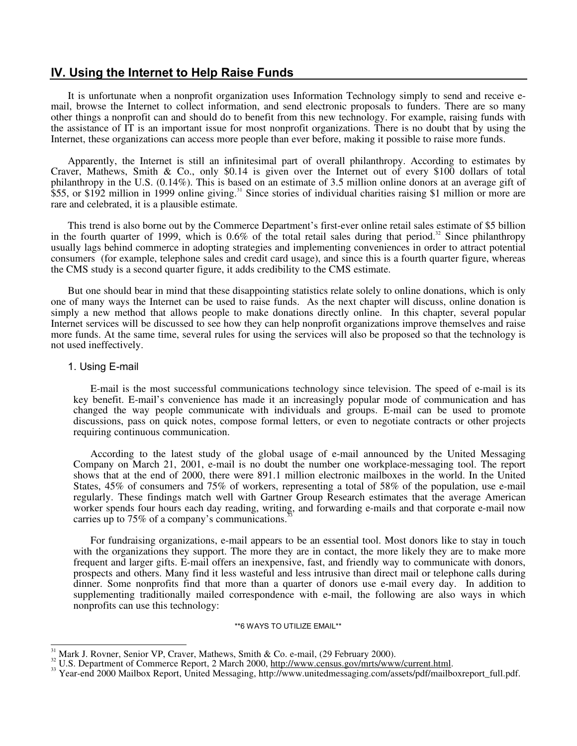# **IV. Using the Internet to Help Raise Funds**

It is unfortunate when a nonprofit organization uses Information Technology simply to send and receive email, browse the Internet to collect information, and send electronic proposals to funders. There are so many other things a nonprofit can and should do to benefit from this new technology. For example, raising funds with the assistance of IT is an important issue for most nonprofit organizations. There is no doubt that by using the Internet, these organizations can access more people than ever before, making it possible to raise more funds.

Apparently, the Internet is still an infinitesimal part of overall philanthropy. According to estimates by Craver, Mathews, Smith & Co., only \$0.14 is given over the Internet out of every \$100 dollars of total philanthropy in the U.S. (0.14%). This is based on an estimate of 3.5 million online donors at an average gift of \$55, or \$192 million in 1999 online giving.<sup>31</sup> Since stories of individual charities raising \$1 million or more are rare and celebrated, it is a plausible estimate.

This trend is also borne out by the Commerce Department's first-ever online retail sales estimate of \$5 billion in the fourth quarter of 1999, which is  $0.6\%$  of the total retail sales during that period.<sup>32</sup> Since philanthropy usually lags behind commerce in adopting strategies and implementing conveniences in order to attract potential consumers (for example, telephone sales and credit card usage), and since this is a fourth quarter figure, whereas the CMS study is a second quarter figure, it adds credibility to the CMS estimate.

But one should bear in mind that these disappointing statistics relate solely to online donations, which is only one of many ways the Internet can be used to raise funds. As the next chapter will discuss, online donation is simply a new method that allows people to make donations directly online. In this chapter, several popular Internet services will be discussed to see how they can help nonprofit organizations improve themselves and raise more funds. At the same time, several rules for using the services will also be proposed so that the technology is not used ineffectively.

#### 1. Using E-mail

 $\overline{1}$ 

E-mail is the most successful communications technology since television. The speed of e-mail is its key benefit. E-mail's convenience has made it an increasingly popular mode of communication and has changed the way people communicate with individuals and groups. E-mail can be used to promote discussions, pass on quick notes, compose formal letters, or even to negotiate contracts or other projects requiring continuous communication.

According to the latest study of the global usage of e-mail announced by the United Messaging Company on March 21, 2001, e-mail is no doubt the number one workplace-messaging tool. The report shows that at the end of 2000, there were 891.1 million electronic mailboxes in the world. In the United States, 45% of consumers and 75% of workers, representing a total of 58% of the population, use e-mail regularly. These findings match well with Gartner Group Research estimates that the average American worker spends four hours each day reading, writing, and forwarding e-mails and that corporate e-mail now carries up to 75% of a company's communications.<sup>3</sup>

For fundraising organizations, e-mail appears to be an essential tool. Most donors like to stay in touch with the organizations they support. The more they are in contact, the more likely they are to make more frequent and larger gifts. E-mail offers an inexpensive, fast, and friendly way to communicate with donors, prospects and others. Many find it less wasteful and less intrusive than direct mail or telephone calls during dinner. Some nonprofits find that more than a quarter of donors use e-mail every day. In addition to supplementing traditionally mailed correspondence with e-mail, the following are also ways in which nonprofits can use this technology:

\*\*6 WAYS TO UTILIZE EMAIL\*\*

<sup>&</sup>lt;sup>31</sup> Mark J. Rovner, Senior VP, Craver, Mathews, Smith & Co. e-mail, (29 February 2000).<br><sup>32</sup> U.S. Department of Commerce Report, 2 March 2000, <u>http://www.census.gov/mrts/www/current.html</u>.<br><sup>33</sup> Year-end 2000 Mailbox Repo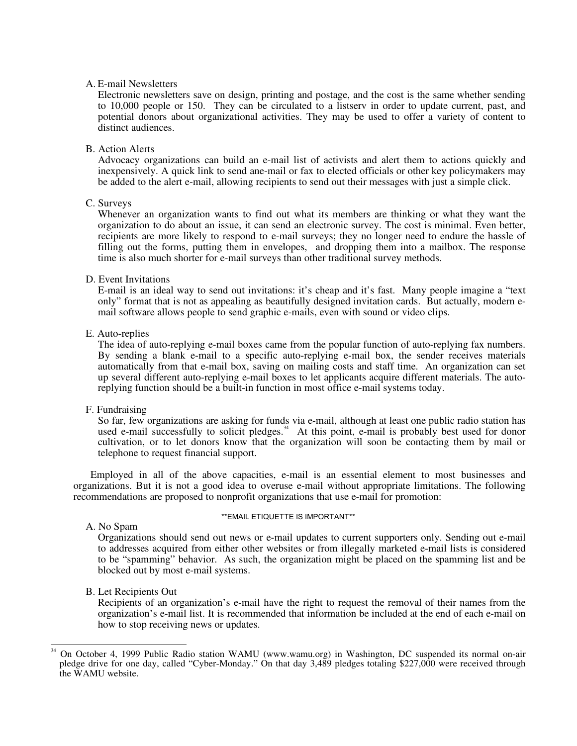#### A. E-mail Newsletters

Electronic newsletters save on design, printing and postage, and the cost is the same whether sending to 10,000 people or 150. They can be circulated to a listserv in order to update current, past, and potential donors about organizational activities. They may be used to offer a variety of content to distinct audiences.

#### B. Action Alerts

Advocacy organizations can build an e-mail list of activists and alert them to actions quickly and inexpensively. A quick link to send ane-mail or fax to elected officials or other key policymakers may be added to the alert e-mail, allowing recipients to send out their messages with just a simple click.

# C. Surveys

Whenever an organization wants to find out what its members are thinking or what they want the organization to do about an issue, it can send an electronic survey. The cost is minimal. Even better, recipients are more likely to respond to e-mail surveys; they no longer need to endure the hassle of filling out the forms, putting them in envelopes, and dropping them into a mailbox. The response time is also much shorter for e-mail surveys than other traditional survey methods.

#### D. Event Invitations

E-mail is an ideal way to send out invitations: it's cheap and it's fast. Many people imagine a "text only" format that is not as appealing as beautifully designed invitation cards. But actually, modern email software allows people to send graphic e-mails, even with sound or video clips.

#### E. Auto-replies

The idea of auto-replying e-mail boxes came from the popular function of auto-replying fax numbers. By sending a blank e-mail to a specific auto-replying e-mail box, the sender receives materials automatically from that e-mail box, saving on mailing costs and staff time. An organization can set up several different auto-replying e-mail boxes to let applicants acquire different materials. The autoreplying function should be a built-in function in most office e-mail systems today.

# F. Fundraising

So far, few organizations are asking for funds via e-mail, although at least one public radio station has used e-mail successfully to solicit pledges.<sup>34</sup> At this point, e-mail is probably best used for donor cultivation, or to let donors know that the organization will soon be contacting them by mail or telephone to request financial support.

Employed in all of the above capacities, e-mail is an essential element to most businesses and organizations. But it is not a good idea to overuse e-mail without appropriate limitations. The following recommendations are proposed to nonprofit organizations that use e-mail for promotion:

# A. No Spam

\*\*EMAIL ETIQUETTE IS IMPORTANT\*\*

Organizations should send out news or e-mail updates to current supporters only. Sending out e-mail to addresses acquired from either other websites or from illegally marketed e-mail lists is considered to be "spamming" behavior. As such, the organization might be placed on the spamming list and be blocked out by most e-mail systems.

# B. Let Recipients Out

Recipients of an organization's e-mail have the right to request the removal of their names from the organization's e-mail list. It is recommended that information be included at the end of each e-mail on how to stop receiving news or updates.

 $\frac{1}{2}$ 34 On October 4, 1999 Public Radio station WAMU (www.wamu.org) in Washington, DC suspended its normal on-air pledge drive for one day, called "Cyber-Monday." On that day 3,489 pledges totaling \$227,000 were received through the WAMU website.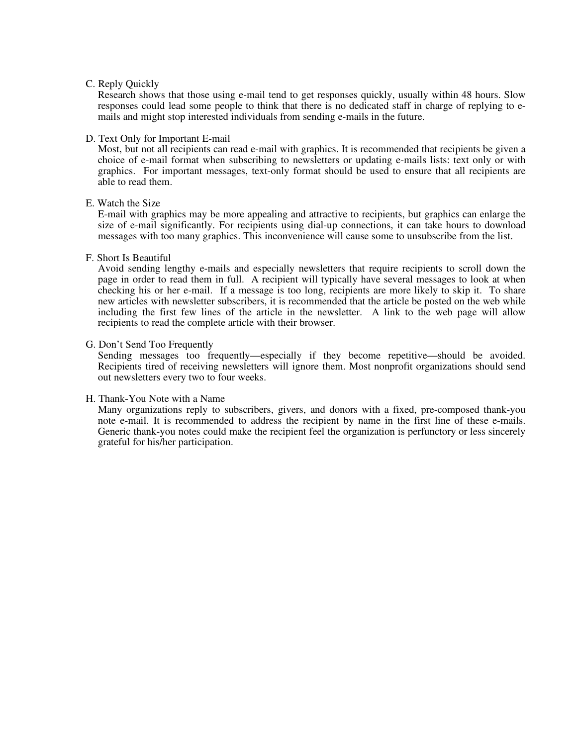#### C. Reply Quickly

Research shows that those using e-mail tend to get responses quickly, usually within 48 hours. Slow responses could lead some people to think that there is no dedicated staff in charge of replying to emails and might stop interested individuals from sending e-mails in the future.

#### D. Text Only for Important E-mail

Most, but not all recipients can read e-mail with graphics. It is recommended that recipients be given a choice of e-mail format when subscribing to newsletters or updating e-mails lists: text only or with graphics. For important messages, text-only format should be used to ensure that all recipients are able to read them.

# E. Watch the Size

E-mail with graphics may be more appealing and attractive to recipients, but graphics can enlarge the size of e-mail significantly. For recipients using dial-up connections, it can take hours to download messages with too many graphics. This inconvenience will cause some to unsubscribe from the list.

#### F. Short Is Beautiful

Avoid sending lengthy e-mails and especially newsletters that require recipients to scroll down the page in order to read them in full. A recipient will typically have several messages to look at when checking his or her e-mail. If a message is too long, recipients are more likely to skip it. To share new articles with newsletter subscribers, it is recommended that the article be posted on the web while including the first few lines of the article in the newsletter. A link to the web page will allow recipients to read the complete article with their browser.

#### G. Don't Send Too Frequently

Sending messages too frequently—especially if they become repetitive—should be avoided. Recipients tired of receiving newsletters will ignore them. Most nonprofit organizations should send out newsletters every two to four weeks.

# H. Thank-You Note with a Name

Many organizations reply to subscribers, givers, and donors with a fixed, pre-composed thank-you note e-mail. It is recommended to address the recipient by name in the first line of these e-mails. Generic thank-you notes could make the recipient feel the organization is perfunctory or less sincerely grateful for his/her participation.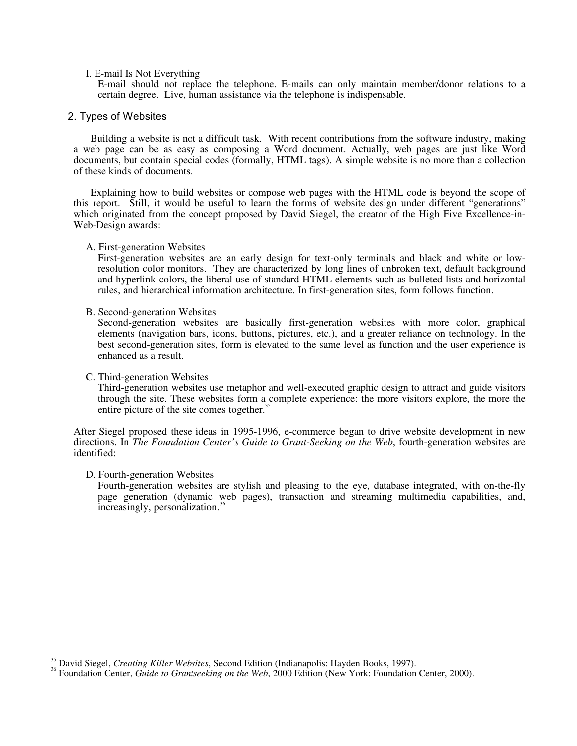#### I. E-mail Is Not Everything

E-mail should not replace the telephone. E-mails can only maintain member/donor relations to a certain degree. Live, human assistance via the telephone is indispensable.

#### 2. Types of Websites

Building a website is not a difficult task. With recent contributions from the software industry, making a web page can be as easy as composing a Word document. Actually, web pages are just like Word documents, but contain special codes (formally, HTML tags). A simple website is no more than a collection of these kinds of documents.

Explaining how to build websites or compose web pages with the HTML code is beyond the scope of this report. Still, it would be useful to learn the forms of website design under different "generations" which originated from the concept proposed by David Siegel, the creator of the High Five Excellence-in-Web-Design awards:

#### A. First-generation Websites

First-generation websites are an early design for text-only terminals and black and white or lowresolution color monitors. They are characterized by long lines of unbroken text, default background and hyperlink colors, the liberal use of standard HTML elements such as bulleted lists and horizontal rules, and hierarchical information architecture. In first-generation sites, form follows function.

#### B. Second-generation Websites

Second-generation websites are basically first-generation websites with more color, graphical elements (navigation bars, icons, buttons, pictures, etc.), and a greater reliance on technology. In the best second-generation sites, form is elevated to the same level as function and the user experience is enhanced as a result.

#### C. Third-generation Websites

Third-generation websites use metaphor and well-executed graphic design to attract and guide visitors through the site. These websites form a complete experience: the more visitors explore, the more the entire picture of the site comes together.<sup>35</sup>

After Siegel proposed these ideas in 1995-1996, e-commerce began to drive website development in new directions. In *The Foundation Center's Guide to Grant-Seeking on the Web*, fourth-generation websites are identified:

# D. Fourth-generation Websites

Fourth-generation websites are stylish and pleasing to the eye, database integrated, with on-the-fly page generation (dynamic web pages), transaction and streaming multimedia capabilities, and, increasingly, personalization.<sup>36</sup>

 $\overline{\phantom{a}}$ 

<sup>35</sup> David Siegel, *Creating Killer Websites*, Second Edition (Indianapolis: Hayden Books, 1997). 36 Foundation Center, *Guide to Grantseeking on the Web*, 2000 Edition (New York: Foundation Center, 2000).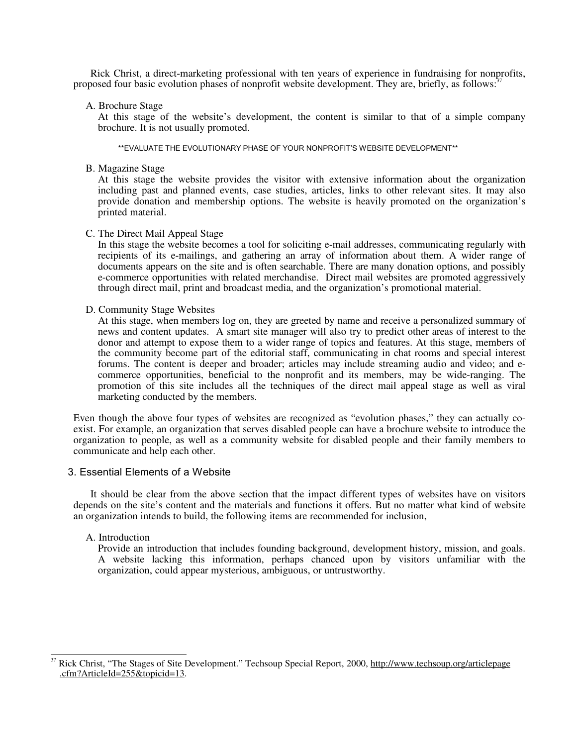Rick Christ, a direct-marketing professional with ten years of experience in fundraising for nonprofits, proposed four basic evolution phases of nonprofit website development. They are, briefly, as follows:<sup>37</sup>

## A. Brochure Stage

At this stage of the website's development, the content is similar to that of a simple company brochure. It is not usually promoted.

\*\*EVALUATE THE EVOLUTIONARY PHASE OF YOUR NONPROFIT'S WEBSITE DEVELOPMENT\*\*

B. Magazine Stage

At this stage the website provides the visitor with extensive information about the organization including past and planned events, case studies, articles, links to other relevant sites. It may also provide donation and membership options. The website is heavily promoted on the organization's printed material.

#### C. The Direct Mail Appeal Stage

In this stage the website becomes a tool for soliciting e-mail addresses, communicating regularly with recipients of its e-mailings, and gathering an array of information about them. A wider range of documents appears on the site and is often searchable. There are many donation options, and possibly e-commerce opportunities with related merchandise. Direct mail websites are promoted aggressively through direct mail, print and broadcast media, and the organization's promotional material.

#### D. Community Stage Websites

At this stage, when members log on, they are greeted by name and receive a personalized summary of news and content updates. A smart site manager will also try to predict other areas of interest to the donor and attempt to expose them to a wider range of topics and features. At this stage, members of the community become part of the editorial staff, communicating in chat rooms and special interest forums. The content is deeper and broader; articles may include streaming audio and video; and ecommerce opportunities, beneficial to the nonprofit and its members, may be wide-ranging. The promotion of this site includes all the techniques of the direct mail appeal stage as well as viral marketing conducted by the members.

Even though the above four types of websites are recognized as "evolution phases," they can actually coexist. For example, an organization that serves disabled people can have a brochure website to introduce the organization to people, as well as a community website for disabled people and their family members to communicate and help each other.

# 3. Essential Elements of a Website

It should be clear from the above section that the impact different types of websites have on visitors depends on the site's content and the materials and functions it offers. But no matter what kind of website an organization intends to build, the following items are recommended for inclusion,

# A. Introduction

Provide an introduction that includes founding background, development history, mission, and goals. A website lacking this information, perhaps chanced upon by visitors unfamiliar with the organization, could appear mysterious, ambiguous, or untrustworthy.

 $\overline{a}$ Rick Christ, "The Stages of Site Development." Techsoup Special Report, 2000, http://www.techsoup.org/articlepage .cfm?ArticleId=255&topicid=13.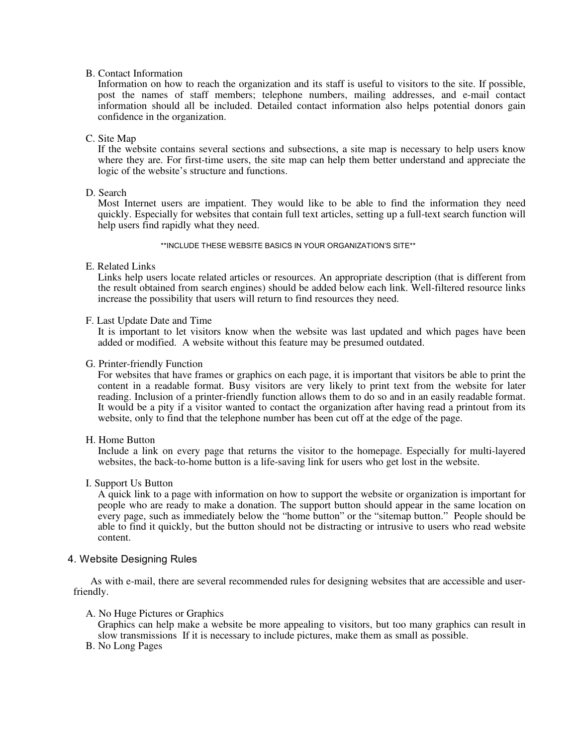## B. Contact Information

Information on how to reach the organization and its staff is useful to visitors to the site. If possible, post the names of staff members; telephone numbers, mailing addresses, and e-mail contact information should all be included. Detailed contact information also helps potential donors gain confidence in the organization.

# C. Site Map

If the website contains several sections and subsections, a site map is necessary to help users know where they are. For first-time users, the site map can help them better understand and appreciate the logic of the website's structure and functions.

#### D. Search

Most Internet users are impatient. They would like to be able to find the information they need quickly. Especially for websites that contain full text articles, setting up a full-text search function will help users find rapidly what they need.

\*\*INCLUDE THESE WEBSITE BASICS IN YOUR ORGANIZATION'S SITE\*\*

#### E. Related Links

Links help users locate related articles or resources. An appropriate description (that is different from the result obtained from search engines) should be added below each link. Well-filtered resource links increase the possibility that users will return to find resources they need.

#### F. Last Update Date and Time

It is important to let visitors know when the website was last updated and which pages have been added or modified. A website without this feature may be presumed outdated.

#### G. Printer-friendly Function

For websites that have frames or graphics on each page, it is important that visitors be able to print the content in a readable format. Busy visitors are very likely to print text from the website for later reading. Inclusion of a printer-friendly function allows them to do so and in an easily readable format. It would be a pity if a visitor wanted to contact the organization after having read a printout from its website, only to find that the telephone number has been cut off at the edge of the page.

#### H. Home Button

Include a link on every page that returns the visitor to the homepage. Especially for multi-layered websites, the back-to-home button is a life-saving link for users who get lost in the website.

#### I. Support Us Button

A quick link to a page with information on how to support the website or organization is important for people who are ready to make a donation. The support button should appear in the same location on every page, such as immediately below the "home button" or the "sitemap button." People should be able to find it quickly, but the button should not be distracting or intrusive to users who read website content.

# 4. Website Designing Rules

As with e-mail, there are several recommended rules for designing websites that are accessible and userfriendly.

#### A. No Huge Pictures or Graphics

Graphics can help make a website be more appealing to visitors, but too many graphics can result in slow transmissions If it is necessary to include pictures, make them as small as possible.

B. No Long Pages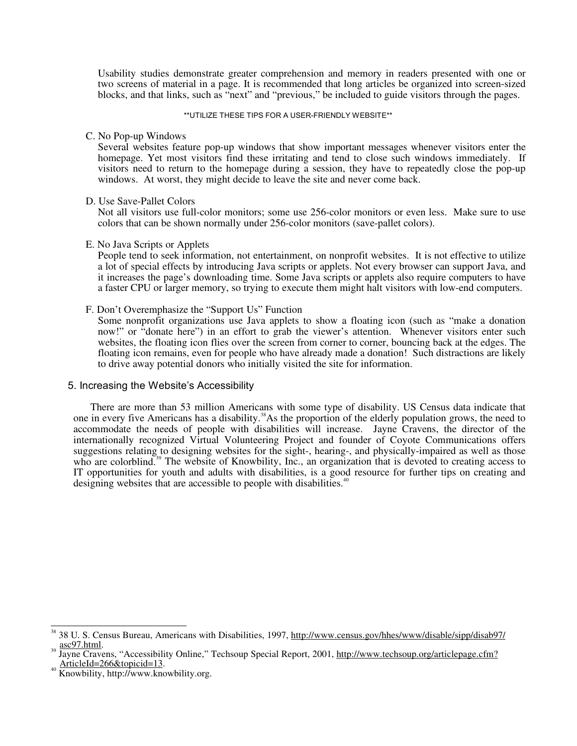Usability studies demonstrate greater comprehension and memory in readers presented with one or two screens of material in a page. It is recommended that long articles be organized into screen-sized blocks, and that links, such as "next" and "previous," be included to guide visitors through the pages.

#### \*\*UTILIZE THESE TIPS FOR A USER-FRIENDLY WEBSITE\*\*

#### C. No Pop-up Windows

Several websites feature pop-up windows that show important messages whenever visitors enter the homepage. Yet most visitors find these irritating and tend to close such windows immediately. If visitors need to return to the homepage during a session, they have to repeatedly close the pop-up windows. At worst, they might decide to leave the site and never come back.

#### D. Use Save-Pallet Colors

Not all visitors use full-color monitors; some use 256-color monitors or even less. Make sure to use colors that can be shown normally under 256-color monitors (save-pallet colors).

#### E. No Java Scripts or Applets

People tend to seek information, not entertainment, on nonprofit websites. It is not effective to utilize a lot of special effects by introducing Java scripts or applets. Not every browser can support Java, and it increases the page's downloading time. Some Java scripts or applets also require computers to have a faster CPU or larger memory, so trying to execute them might halt visitors with low-end computers.

#### F. Don't Overemphasize the "Support Us" Function

Some nonprofit organizations use Java applets to show a floating icon (such as "make a donation now!" or "donate here") in an effort to grab the viewer's attention. Whenever visitors enter such websites, the floating icon flies over the screen from corner to corner, bouncing back at the edges. The floating icon remains, even for people who have already made a donation! Such distractions are likely to drive away potential donors who initially visited the site for information.

# 5. Increasing the Website's Accessibility

There are more than 53 million Americans with some type of disability. US Census data indicate that one in every five Americans has a disability.<sup>38</sup>As the proportion of the elderly population grows, the need to accommodate the needs of people with disabilities will increase. Jayne Cravens, the director of the internationally recognized Virtual Volunteering Project and founder of Coyote Communications offers suggestions relating to designing websites for the sight-, hearing-, and physically-impaired as well as those who are colorblind.<sup>39</sup> The website of Knowbility, Inc., an organization that is devoted to creating access to IT opportunities for youth and adults with disabilities, is a good resource for further tips on creating and designing websites that are accessible to people with disabilities.<sup>40</sup>

 $\overline{a}$ 38 U. S. Census Bureau, Americans with Disabilities, 1997, http://www.census.gov/hhes/www/disable/sipp/disab97/ asc97.html.

Jayne Cravens, "Accessibility Online," Techsoup Special Report, 2001, http://www.techsoup.org/articlepage.cfm? ArticleId=266&topicid=13. 40 Knowbility, http://www.knowbility.org.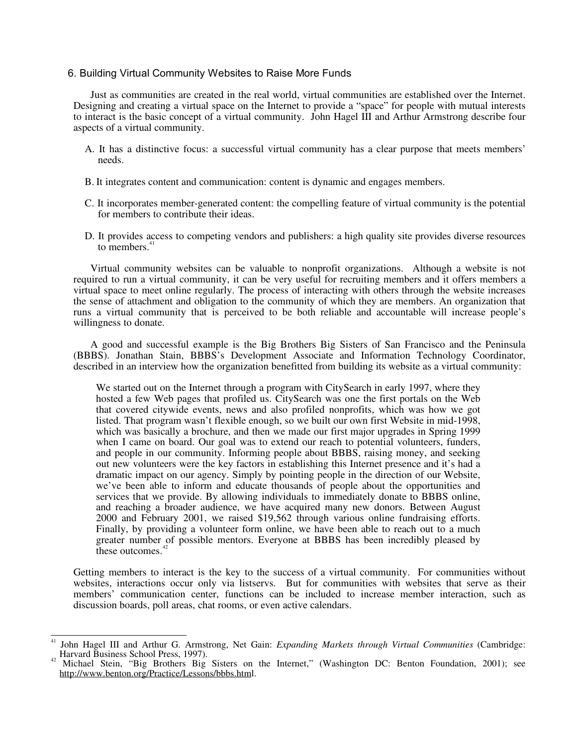# 6. Building Virtual Community Websites to Raise More Funds

Just as communities are created in the real world, virtual communities are established over the Internet. Designing and creating a virtual space on the Internet to provide a "space" for people with mutual interests to interact is the basic concept of a virtual community. John Hagel III and Arthur Armstrong describe four aspects of a virtual community.

- A. It has a distinctive focus: a successful virtual community has a clear purpose that meets members' needs.
- B. It integrates content and communication: content is dynamic and engages members.
- C. It incorporates member-generated content: the compelling feature of virtual community is the potential for members to contribute their ideas.
- D. It provides access to competing vendors and publishers: a high quality site provides diverse resources to members.<sup>4</sup>

Virtual community websites can be valuable to nonprofit organizations. Although a website is not required to run a virtual community, it can be very useful for recruiting members and it offers members a virtual space to meet online regularly. The process of interacting with others through the website increases the sense of attachment and obligation to the community of which they are members. An organization that runs a virtual community that is perceived to be both reliable and accountable will increase people's willingness to donate.

A good and successful example is the Big Brothers Big Sisters of San Francisco and the Peninsula (BBBS). Jonathan Stain, BBBS's Development Associate and Information Technology Coordinator, described in an interview how the organization benefitted from building its website as a virtual community:

We started out on the Internet through a program with CitySearch in early 1997, where they hosted a few Web pages that profiled us. CitySearch was one the first portals on the Web that covered citywide events, news and also profiled nonprofits, which was how we got listed. That program wasn't flexible enough, so we built our own first Website in mid-1998, which was basically a brochure, and then we made our first major upgrades in Spring 1999 when I came on board. Our goal was to extend our reach to potential volunteers, funders, and people in our community. Informing people about BBBS, raising money, and seeking out new volunteers were the key factors in establishing this Internet presence and it's had a dramatic impact on our agency. Simply by pointing people in the direction of our Website, we've been able to inform and educate thousands of people about the opportunities and services that we provide. By allowing individuals to immediately donate to BBBS online, and reaching a broader audience, we have acquired many new donors. Between August 2000 and February 2001, we raised \$19,562 through various online fundraising efforts. Finally, by providing a volunteer form online, we have been able to reach out to a much greater number of possible mentors. Everyone at BBBS has been incredibly pleased by these outcomes.<sup>42</sup>

Getting members to interact is the key to the success of a virtual community. For communities without websites, interactions occur only via listservs. But for communities with websites that serve as their members' communication center, functions can be included to increase member interaction, such as discussion boards, poll areas, chat rooms, or even active calendars.

 $\overline{a}$ John Hagel III and Arthur G. Armstrong, Net Gain: *Expanding Markets through Virtual Communities* (Cambridge: Harvard Business School Press, 1997).

Michael Stein, "Big Brothers Big Sisters on the Internet," (Washington DC: Benton Foundation, 2001); see http://www.benton.org/Practice/Lessons/bbbs.html.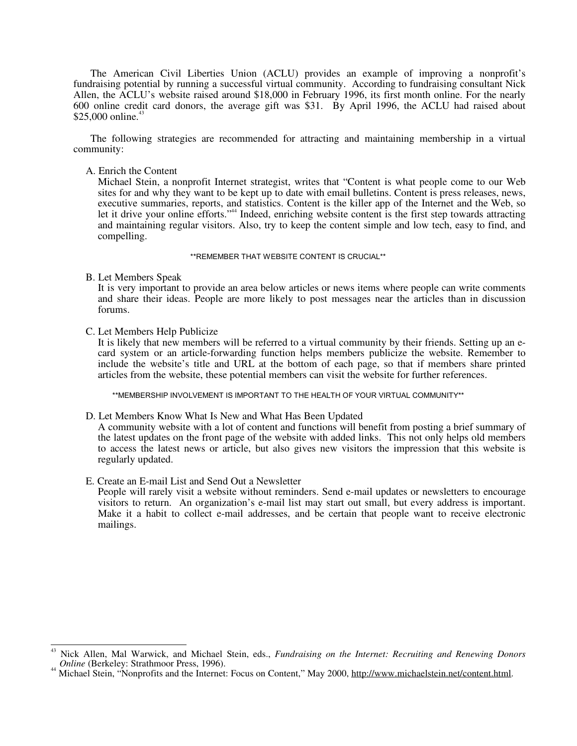The American Civil Liberties Union (ACLU) provides an example of improving a nonprofit's fundraising potential by running a successful virtual community. According to fundraising consultant Nick Allen, the ACLU's website raised around \$18,000 in February 1996, its first month online. For the nearly 600 online credit card donors, the average gift was \$31. By April 1996, the ACLU had raised about \$25,000 online.<sup>43</sup>

The following strategies are recommended for attracting and maintaining membership in a virtual community:

A. Enrich the Content

Michael Stein, a nonprofit Internet strategist, writes that "Content is what people come to our Web sites for and why they want to be kept up to date with email bulletins. Content is press releases, news, executive summaries, reports, and statistics. Content is the killer app of the Internet and the Web, so let it drive your online efforts."44 Indeed, enriching website content is the first step towards attracting and maintaining regular visitors. Also, try to keep the content simple and low tech, easy to find, and compelling.

#### \*\*REMEMBER THAT WEBSITE CONTENT IS CRUCIAL\*\*

B. Let Members Speak

It is very important to provide an area below articles or news items where people can write comments and share their ideas. People are more likely to post messages near the articles than in discussion forums.

C. Let Members Help Publicize

It is likely that new members will be referred to a virtual community by their friends. Setting up an ecard system or an article-forwarding function helps members publicize the website. Remember to include the website's title and URL at the bottom of each page, so that if members share printed articles from the website, these potential members can visit the website for further references.

\*\*MEMBERSHIP INVOLVEMENT IS IMPORTANT TO THE HEALTH OF YOUR VIRTUAL COMMUNITY\*\*

#### D. Let Members Know What Is New and What Has Been Updated

A community website with a lot of content and functions will benefit from posting a brief summary of the latest updates on the front page of the website with added links. This not only helps old members to access the latest news or article, but also gives new visitors the impression that this website is regularly updated.

# E. Create an E-mail List and Send Out a Newsletter

People will rarely visit a website without reminders. Send e-mail updates or newsletters to encourage visitors to return. An organization's e-mail list may start out small, but every address is important. Make it a habit to collect e-mail addresses, and be certain that people want to receive electronic mailings.

 $\frac{1}{2}$ Nick Allen, Mal Warwick, and Michael Stein, eds., *Fundraising on the Internet: Recruiting and Renewing Donors Online* (Berkeley: Strathmoor Press, 1996).

*Michael Stein, "Nonprofits and the Internet: Focus on Content," May 2000, http://www.michaelstein.net/content.html.*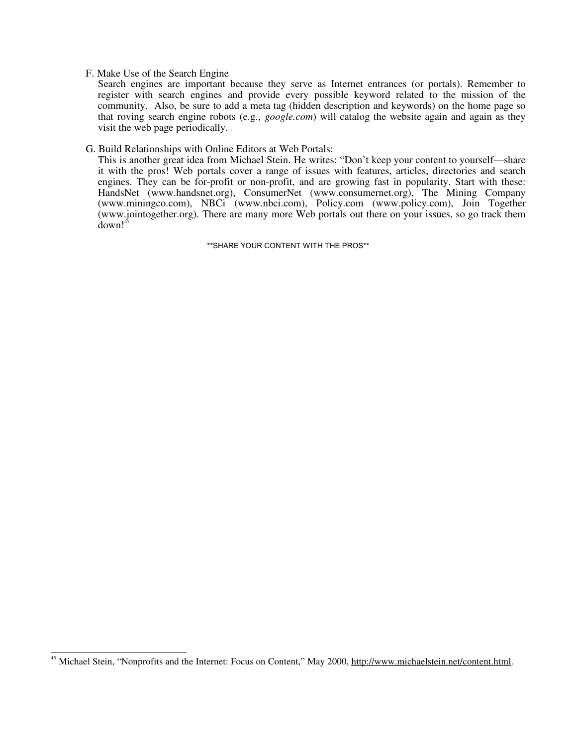## F. Make Use of the Search Engine

Search engines are important because they serve as Internet entrances (or portals). Remember to register with search engines and provide every possible keyword related to the mission of the community. Also, be sure to add a meta tag (hidden description and keywords) on the home page so that roving search engine robots (e.g., *google.com*) will catalog the website again and again as they visit the web page periodically.

#### G. Build Relationships with Online Editors at Web Portals:

This is another great idea from Michael Stein. He writes: "Don't keep your content to yourself—share it with the pros! Web portals cover a range of issues with features, articles, directories and search engines. They can be for-profit or non-profit, and are growing fast in popularity. Start with these: HandsNet (www.handsnet.org), ConsumerNet (www.consumernet.org), The Mining Company (www.miningco.com), NBCi (www.nbci.com), Policy.com (www.policy.com), Join Together (www.jointogether.org). There are many more Web portals out there on your issues, so go track them  $down!^4$ 

\*\*SHARE YOUR CONTENT WITH THE PROS\*\*

 $\overline{a}$ <sup>45</sup> Michael Stein, "Nonprofits and the Internet: Focus on Content," May 2000, http://www.michaelstein.net/content.html.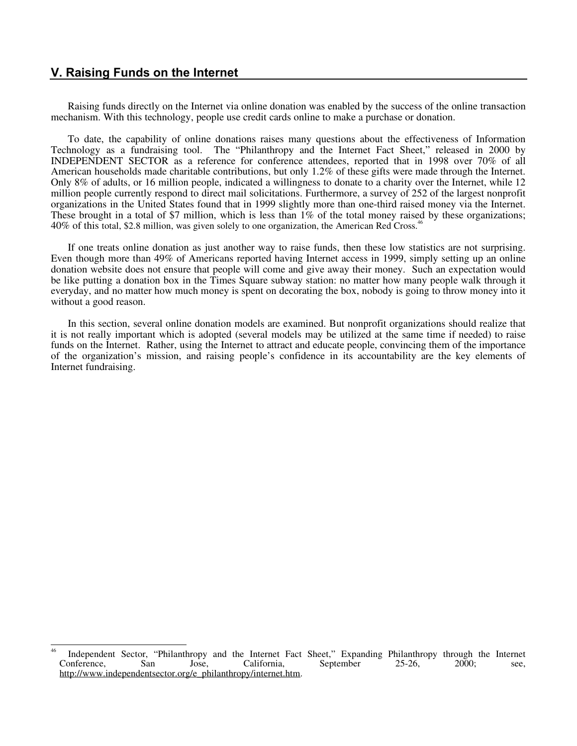# **V. Raising Funds on the Internet**

Raising funds directly on the Internet via online donation was enabled by the success of the online transaction mechanism. With this technology, people use credit cards online to make a purchase or donation.

To date, the capability of online donations raises many questions about the effectiveness of Information Technology as a fundraising tool. The "Philanthropy and the Internet Fact Sheet," released in 2000 by INDEPENDENT SECTOR as a reference for conference attendees, reported that in 1998 over 70% of all American households made charitable contributions, but only 1.2% of these gifts were made through the Internet. Only 8% of adults, or 16 million people, indicated a willingness to donate to a charity over the Internet, while 12 million people currently respond to direct mail solicitations. Furthermore, a survey of 252 of the largest nonprofit organizations in the United States found that in 1999 slightly more than one-third raised money via the Internet. These brought in a total of \$7 million, which is less than 1% of the total money raised by these organizations; 40% of this total, \$2.8 million, was given solely to one organization, the American Red Cross.<sup>46</sup>

If one treats online donation as just another way to raise funds, then these low statistics are not surprising. Even though more than 49% of Americans reported having Internet access in 1999, simply setting up an online donation website does not ensure that people will come and give away their money. Such an expectation would be like putting a donation box in the Times Square subway station: no matter how many people walk through it everyday, and no matter how much money is spent on decorating the box, nobody is going to throw money into it without a good reason.

In this section, several online donation models are examined. But nonprofit organizations should realize that it is not really important which is adopted (several models may be utilized at the same time if needed) to raise funds on the Internet. Rather, using the Internet to attract and educate people, convincing them of the importance of the organization's mission, and raising people's confidence in its accountability are the key elements of Internet fundraising.

<sup>46</sup> Independent Sector, "Philanthropy and the Internet Fact Sheet," Expanding Philanthropy through the Internet Conference, San Jose, California, September 25-26, 2000; see, Conference, San Jose, California, September 25-26, 2000; see, http://www.independentsector.org/e\_philanthropy/internet.htm.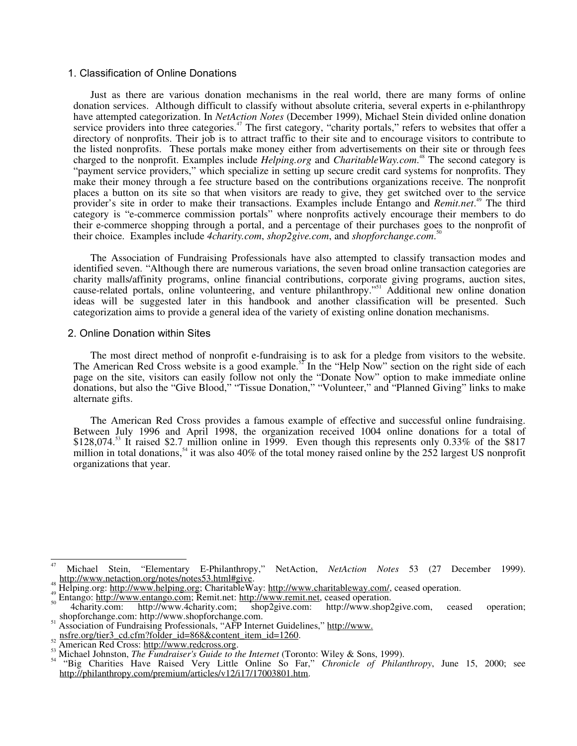# 1. Classification of Online Donations

Just as there are various donation mechanisms in the real world, there are many forms of online donation services. Although difficult to classify without absolute criteria, several experts in e-philanthropy have attempted categorization. In *NetAction Notes* (December 1999), Michael Stein divided online donation service providers into three categories.<sup>47</sup> The first category, "charity portals," refers to websites that offer a directory of nonprofits. Their job is to attract traffic to their site and to encourage visitors to contribute to the listed nonprofits. These portals make money either from advertisements on their site or through fees charged to the nonprofit. Examples include *Helping.org* and *CharitableWay.com*. 48 The second category is "payment service providers," which specialize in setting up secure credit card systems for nonprofits. They make their money through a fee structure based on the contributions organizations receive. The nonprofit places a button on its site so that when visitors are ready to give, they get switched over to the service provider's site in order to make their transactions. Examples include Entango and *Remit.net*. 49 The third category is "e-commerce commission portals" where nonprofits actively encourage their members to do their e-commerce shopping through a portal, and a percentage of their purchases goes to the nonprofit of their choice. Examples include *4charity.com*, *shop2give.com*, and *shopforchange.com*. 50

The Association of Fundraising Professionals have also attempted to classify transaction modes and identified seven. "Although there are numerous variations, the seven broad online transaction categories are charity malls/affinity programs, online financial contributions, corporate giving programs, auction sites, cause-related portals, online volunteering, and venture philanthropy."51 Additional new online donation ideas will be suggested later in this handbook and another classification will be presented. Such categorization aims to provide a general idea of the variety of existing online donation mechanisms.

#### 2. Online Donation within Sites

The most direct method of nonprofit e-fundraising is to ask for a pledge from visitors to the website. The American Red Cross website is a good example.<sup>52</sup> In the "Help Now" section on the right side of each page on the site, visitors can easily follow not only the "Donate Now" option to make immediate online donations, but also the "Give Blood," "Tissue Donation," "Volunteer," and "Planned Giving" links to make alternate gifts.

The American Red Cross provides a famous example of effective and successful online fundraising. Between July 1996 and April 1998, the organization received 1004 online donations for a total of  $$128,074<sup>53</sup>$  It raised \$2.7 million online in 1999. Even though this represents only 0.33% of the \$817 million in total donations,<sup>54</sup> it was also 40% of the total money raised online by the 252 largest US nonprofit organizations that year.

 $\frac{1}{4}$ 

Michael Stein, "Elementary E-Philanthropy," NetAction, *NetAction Notes* 53 (27 December 1999).<br>http://www.netaction.org/notes/notes53.html#give.

<sup>&</sup>lt;sup>48</sup><br>Helping.org: <u>http://www.helping.org</u>; CharitableWay: <u>http://www.charitableway.com/</u>, ceased operation.<br><sup>49</sup> Entango: <u>http://www.entango.com;</u> Remit.net: <u>http://www.remit.net</u>, ceased operation.<br>4charity.com: http:

<sup>&</sup>lt;sup>51</sup> Association of Fundraising Professionals, "AFP Internet Guidelines," http://www.<br>  $\frac{1}{2}$  association of Fundraising Professionals, "AFP Internet Guidelines," http://www.

<sup>&</sup>lt;sup>52</sup> American Red Cross: http://www.redcross.org.<br><sup>53</sup> Michael Johnston, *The Fundraiser's Guide to the Internet* (Toronto: Wiley & Sons, 1999).<br><sup>54</sup> "Big Charities Have Raised Very Little Online So Far," *Chronicle of Ph* 

http://philanthropy.com/premium/articles/v12/i17/17003801.htm.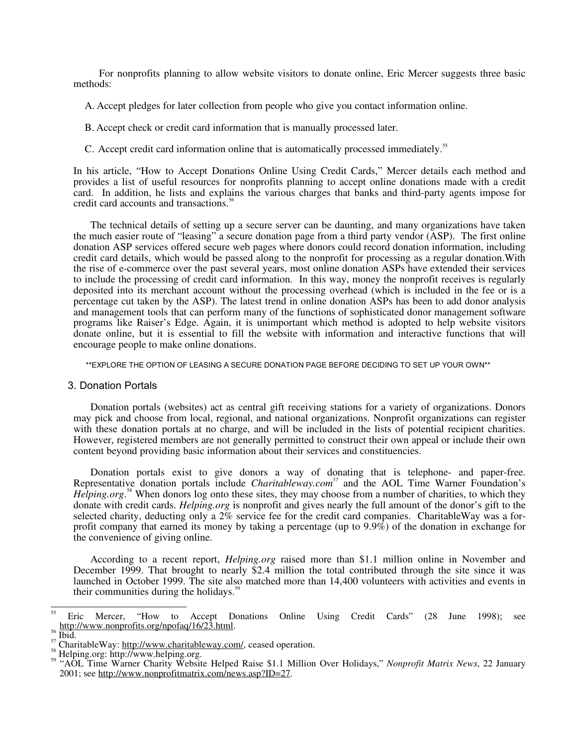For nonprofits planning to allow website visitors to donate online, Eric Mercer suggests three basic methods:

A. Accept pledges for later collection from people who give you contact information online.

- B. Accept check or credit card information that is manually processed later.
- C. Accept credit card information online that is automatically processed immediately.<sup>55</sup>

In his article, "How to Accept Donations Online Using Credit Cards," Mercer details each method and provides a list of useful resources for nonprofits planning to accept online donations made with a credit card. In addition, he lists and explains the various charges that banks and third-party agents impose for credit card accounts and transactions.<sup>56</sup>

The technical details of setting up a secure server can be daunting, and many organizations have taken the much easier route of "leasing" a secure donation page from a third party vendor (ASP). The first online donation ASP services offered secure web pages where donors could record donation information, including credit card details, which would be passed along to the nonprofit for processing as a regular donation.With the rise of e-commerce over the past several years, most online donation ASPs have extended their services to include the processing of credit card information. In this way, money the nonprofit receives is regularly deposited into its merchant account without the processing overhead (which is included in the fee or is a percentage cut taken by the ASP). The latest trend in online donation ASPs has been to add donor analysis and management tools that can perform many of the functions of sophisticated donor management software programs like Raiser's Edge. Again, it is unimportant which method is adopted to help website visitors donate online, but it is essential to fill the website with information and interactive functions that will encourage people to make online donations.

\*\*EXPLORE THE OPTION OF LEASING A SECURE DONATION PAGE BEFORE DECIDING TO SET UP YOUR OWN\*\*

#### 3. Donation Portals

Donation portals (websites) act as central gift receiving stations for a variety of organizations. Donors may pick and choose from local, regional, and national organizations. Nonprofit organizations can register with these donation portals at no charge, and will be included in the lists of potential recipient charities. However, registered members are not generally permitted to construct their own appeal or include their own content beyond providing basic information about their services and constituencies.

Donation portals exist to give donors a way of donating that is telephone- and paper-free. Representative donation portals include *Charitableway.com<sup>57</sup>* and the AOL Time Warner Foundation's Helping.org.<sup>58</sup> When donors log onto these sites, they may choose from a number of charities, to which they donate with credit cards. *Helping.org* is nonprofit and gives nearly the full amount of the donor's gift to the selected charity, deducting only a 2% service fee for the credit card companies. CharitableWay was a forprofit company that earned its money by taking a percentage (up to 9.9%) of the donation in exchange for the convenience of giving online.

According to a recent report, *Helping.org* raised more than \$1.1 million online in November and December 1999. That brought to nearly \$2.4 million the total contributed through the site since it was launched in October 1999. The site also matched more than 14,400 volunteers with activities and events in their communities during the holidays.<sup>59</sup>

 $\overline{55}$ Eric Mercer, "How to Accept Donations Online Using Credit Cards" (28 June 1998); see http://www.nonprofits.org/npofaq/16/23.html.

<sup>&</sup>lt;sup>56</sup> Ibid.<br><sup>57</sup> CharitableWay: <u>http://www.charitableway.com/</u>, ceased operation.<br><sup>57</sup> CharitableWay: <u>http://www.charitableway.com/</u>, ceased operation.<br><sup>59</sup> "AOL Time Warner Charity Website Helped Raise \$1.1 Million Over 2001; see http://www.nonprofitmatrix.com/news.asp?ID=27.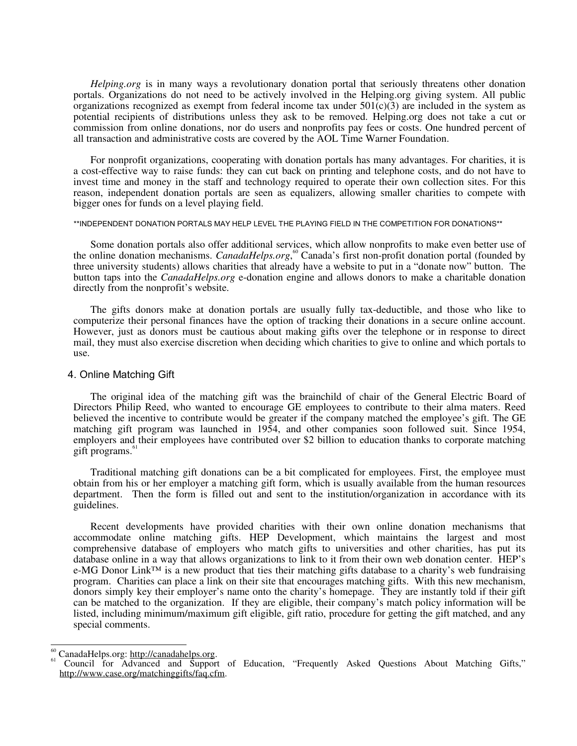*Helping.org* is in many ways a revolutionary donation portal that seriously threatens other donation portals. Organizations do not need to be actively involved in the Helping.org giving system. All public organizations recognized as exempt from federal income tax under  $501(c)(3)$  are included in the system as potential recipients of distributions unless they ask to be removed. Helping.org does not take a cut or commission from online donations, nor do users and nonprofits pay fees or costs. One hundred percent of all transaction and administrative costs are covered by the AOL Time Warner Foundation.

For nonprofit organizations, cooperating with donation portals has many advantages. For charities, it is a cost-effective way to raise funds: they can cut back on printing and telephone costs, and do not have to invest time and money in the staff and technology required to operate their own collection sites. For this reason, independent donation portals are seen as equalizers, allowing smaller charities to compete with bigger ones for funds on a level playing field.

#### \*\*INDEPENDENT DONATION PORTALS MAY HELP LEVEL THE PLAYING FIELD IN THE COMPETITION FOR DONATIONS\*\*

Some donation portals also offer additional services, which allow nonprofits to make even better use of the online donation mechanisms. *CanadaHelps.org*,<sup>60</sup> Canada's first non-profit donation portal (founded by three university students) allows charities that already have a website to put in a "donate now" button. The button taps into the *CanadaHelps.org* e-donation engine and allows donors to make a charitable donation directly from the nonprofit's website.

The gifts donors make at donation portals are usually fully tax-deductible, and those who like to computerize their personal finances have the option of tracking their donations in a secure online account. However, just as donors must be cautious about making gifts over the telephone or in response to direct mail, they must also exercise discretion when deciding which charities to give to online and which portals to use.

#### 4. Online Matching Gift

The original idea of the matching gift was the brainchild of chair of the General Electric Board of Directors Philip Reed, who wanted to encourage GE employees to contribute to their alma maters. Reed believed the incentive to contribute would be greater if the company matched the employee's gift. The GE matching gift program was launched in 1954, and other companies soon followed suit. Since 1954, employers and their employees have contributed over \$2 billion to education thanks to corporate matching gift programs.<sup>61</sup>

Traditional matching gift donations can be a bit complicated for employees. First, the employee must obtain from his or her employer a matching gift form, which is usually available from the human resources department. Then the form is filled out and sent to the institution/organization in accordance with its guidelines.

Recent developments have provided charities with their own online donation mechanisms that accommodate online matching gifts. HEP Development, which maintains the largest and most comprehensive database of employers who match gifts to universities and other charities, has put its database online in a way that allows organizations to link to it from their own web donation center. HEP's e-MG Donor Link™ is a new product that ties their matching gifts database to a charity's web fundraising program. Charities can place a link on their site that encourages matching gifts. With this new mechanism, donors simply key their employer's name onto the charity's homepage. They are instantly told if their gift can be matched to the organization. If they are eligible, their company's match policy information will be listed, including minimum/maximum gift eligible, gift ratio, procedure for getting the gift matched, and any special comments.

<sup>60</sup> 

<sup>&</sup>lt;sup>60</sup> CanadaHelps.org: http://canadahelps.org.<br><sup>61</sup> Council for Advanced and Support of Education, "Frequently Asked Questions About Matching Gifts," http://www.case.org/matchinggifts/faq.cfm.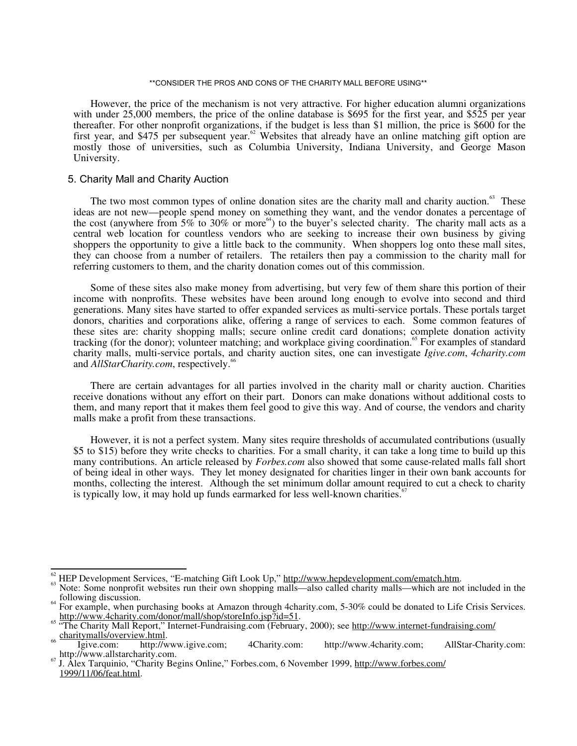#### \*\*CONSIDER THE PROS AND CONS OF THE CHARITY MALL BEFORE USING\*\*

However, the price of the mechanism is not very attractive. For higher education alumni organizations with under 25,000 members, the price of the online database is \$695 for the first year, and \$525 per year thereafter. For other nonprofit organizations, if the budget is less than \$1 million, the price is \$600 for the first year, and \$475 per subsequent year.<sup>62</sup> Websites that already have an online matching gift option are mostly those of universities, such as Columbia University, Indiana University, and George Mason University.

#### 5. Charity Mall and Charity Auction

The two most common types of online donation sites are the charity mall and charity auction.<sup>63</sup> These ideas are not new—people spend money on something they want, and the vendor donates a percentage of the cost (anywhere from  $5\%$  to  $30\%$  or more<sup>64</sup>) to the buyer's selected charity. The charity mall acts as a central web location for countless vendors who are seeking to increase their own business by giving shoppers the opportunity to give a little back to the community. When shoppers log onto these mall sites, they can choose from a number of retailers. The retailers then pay a commission to the charity mall for referring customers to them, and the charity donation comes out of this commission.

Some of these sites also make money from advertising, but very few of them share this portion of their income with nonprofits. These websites have been around long enough to evolve into second and third generations. Many sites have started to offer expanded services as multi-service portals. These portals target donors, charities and corporations alike, offering a range of services to each. Some common features of these sites are: charity shopping malls; secure online credit card donations; complete donation activity tracking (for the donor); volunteer matching; and workplace giving coordination.<sup>65</sup> For examples of standard charity malls, multi-service portals, and charity auction sites, one can investigate *Igive.com*, *4charity.com* and *AllStarCharity.com*, respectively.<sup>66</sup>

There are certain advantages for all parties involved in the charity mall or charity auction. Charities receive donations without any effort on their part. Donors can make donations without additional costs to them, and many report that it makes them feel good to give this way. And of course, the vendors and charity malls make a profit from these transactions.

However, it is not a perfect system. Many sites require thresholds of accumulated contributions (usually \$5 to \$15) before they write checks to charities. For a small charity, it can take a long time to build up this many contributions. An article released by *Forbes.com* also showed that some cause-related malls fall short of being ideal in other ways. They let money designated for charities linger in their own bank accounts for months, collecting the interest. Although the set minimum dollar amount required to cut a check to charity is typically low, it may hold up funds earmarked for less well-known charities.<sup>67</sup>

 $\frac{1}{2}$ 

HEP Development Services, "E-matching Gift Look Up," http://www.hepdevelopment.com/ematch.htm.<br>Note: Some nonprofit websites run their own shopping malls—also called charity malls—which are not included in the<br>following di

<sup>&</sup>lt;sup>64</sup> For example, when purchasing books at Amazon through 4charity.com, 5-30% could be donated to Life Crisis Services. http://www.4charity.com/donor/mall/shop/storeInfo.jsp?id=51.<br><sup>65</sup> "The Charity Mall Report," Internet-Fundraising.com (February, 2000); see <u>http://www.internet-fundraising.com/</u>

<sup>&</sup>lt;sup>66</sup> Charitymalls/overview.html.<br>
Igive.com: http://www.igive.com; 4Charity.com: http://www.4charity.com; AllStar-Charity.com:<br>
http://www.4charity.com; AllStar-Charity.com:

<sup>&</sup>lt;sup>67</sup> J. Alex Tarquinio, "Charity Begins Online," Forbes.com, 6 November 1999, http://www.forbes.com/ 1999/11/06/feat.html.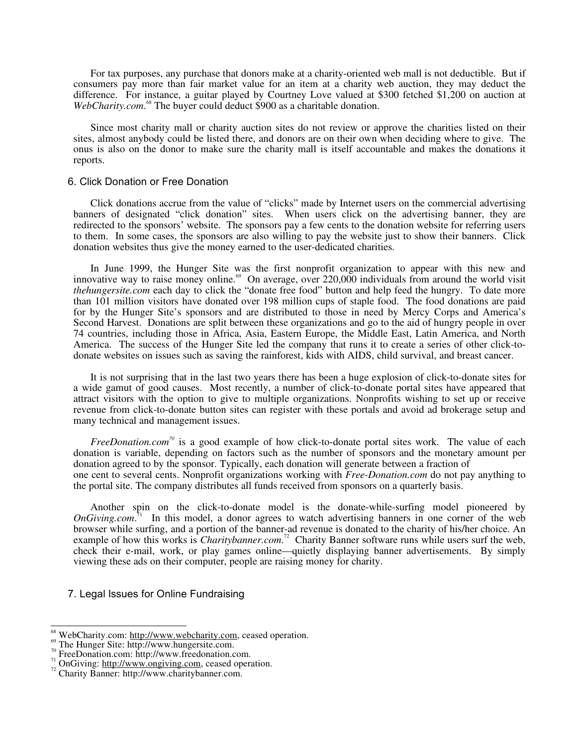For tax purposes, any purchase that donors make at a charity-oriented web mall is not deductible. But if consumers pay more than fair market value for an item at a charity web auction, they may deduct the difference. For instance, a guitar played by Courtney Love valued at \$300 fetched \$1,200 on auction at WebCharity.com.<sup>68</sup> The buyer could deduct \$900 as a charitable donation.

Since most charity mall or charity auction sites do not review or approve the charities listed on their sites, almost anybody could be listed there, and donors are on their own when deciding where to give. The onus is also on the donor to make sure the charity mall is itself accountable and makes the donations it reports.

#### 6. Click Donation or Free Donation

Click donations accrue from the value of "clicks" made by Internet users on the commercial advertising banners of designated "click donation" sites. When users click on the advertising banner, they are redirected to the sponsors' website. The sponsors pay a few cents to the donation website for referring users to them. In some cases, the sponsors are also willing to pay the website just to show their banners. Click donation websites thus give the money earned to the user-dedicated charities.

In June 1999, the Hunger Site was the first nonprofit organization to appear with this new and innovative way to raise money online.<sup>69</sup> On average, over 220,000 individuals from around the world visit *thehungersite.com* each day to click the "donate free food" button and help feed the hungry. To date more than 101 million visitors have donated over 198 million cups of staple food. The food donations are paid for by the Hunger Site's sponsors and are distributed to those in need by Mercy Corps and America's Second Harvest. Donations are split between these organizations and go to the aid of hungry people in over 74 countries, including those in Africa, Asia, Eastern Europe, the Middle East, Latin America, and North America. The success of the Hunger Site led the company that runs it to create a series of other click-todonate websites on issues such as saving the rainforest, kids with AIDS, child survival, and breast cancer.

It is not surprising that in the last two years there has been a huge explosion of click-to-donate sites for a wide gamut of good causes. Most recently, a number of click-to-donate portal sites have appeared that attract visitors with the option to give to multiple organizations. Nonprofits wishing to set up or receive revenue from click-to-donate button sites can register with these portals and avoid ad brokerage setup and many technical and management issues.

*FreeDonation.com*<sup>70</sup> is a good example of how click-to-donate portal sites work. The value of each donation is variable, depending on factors such as the number of sponsors and the monetary amount per donation agreed to by the sponsor. Typically, each donation will generate between a fraction of one cent to several cents. Nonprofit organizations working with *Free-Donation.com* do not pay anything to the portal site. The company distributes all funds received from sponsors on a quarterly basis.

Another spin on the click-to-donate model is the donate-while-surfing model pioneered by *OnGiving.com*<sup>11</sup> In this model, a donor agrees to watch advertising banners in one corner of the web browser while surfing, and a portion of the banner-ad revenue is donated to the charity of his/her choice. An example of how this works is *Charitybanner.com*.<sup>72</sup> Charity Banner software runs while users surf the web, check their e-mail, work, or play games online—quietly displaying banner advertisements. By simply viewing these ads on their computer, people are raising money for charity.

7. Legal Issues for Online Fundraising

 $\frac{1}{2}$ 

<sup>&</sup>lt;sup>68</sup> WebCharity.com: http://www.webcharity.com, ceased operation.<br><sup>69</sup> The Hunger Site: http://www.hungersite.com.<br><sup>70</sup> FreeDonation.com: http://www.freedonation.com.<br><sup>71</sup> OnGiving: http://www.ongiving.com, ceased operati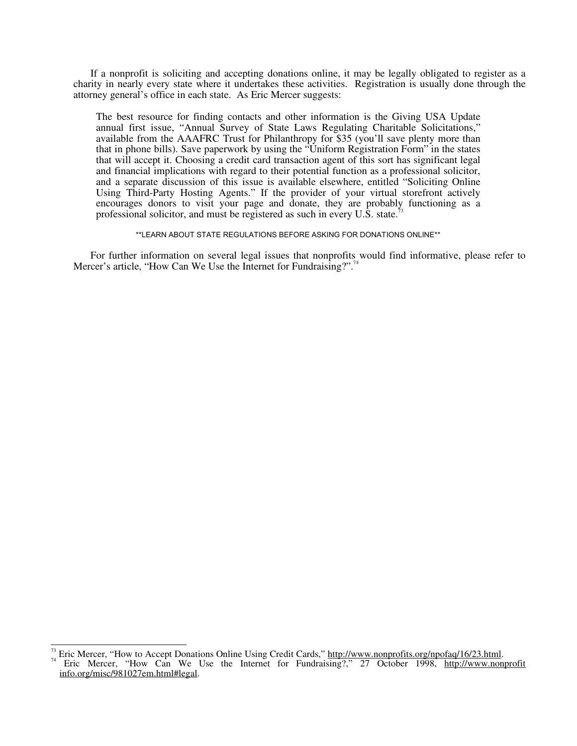If a nonprofit is soliciting and accepting donations online, it may be legally obligated to register as a charity in nearly every state where it undertakes these activities. Registration is usually done through the attorney general's office in each state. As Eric Mercer suggests:

The best resource for finding contacts and other information is the Giving USA Update annual first issue, "Annual Survey of State Laws Regulating Charitable Solicitations," available from the AAAFRC Trust for Philanthropy for \$35 (you'll save plenty more than that in phone bills). Save paperwork by using the "Uniform Registration Form" in the states that will accept it. Choosing a credit card transaction agent of this sort has significant legal and financial implications with regard to their potential function as a professional solicitor, and a separate discussion of this issue is available elsewhere, entitled "Soliciting Online Using Third-Party Hosting Agents." If the provider of your virtual storefront actively encourages donors to visit your page and donate, they are probably functioning as a professional solicitor, and must be registered as such in every U.S. state.<sup>7</sup>

\*\*LEARN ABOUT STATE REGULATIONS BEFORE ASKING FOR DONATIONS ONLINE\*\*

For further information on several legal issues that nonprofits would find informative, please refer to Mercer's article, "How Can We Use the Internet for Fundraising?".<sup>74</sup>

 $\overline{1}$ 

<sup>&</sup>lt;sup>73</sup> Eric Mercer, "How to Accept Donations Online Using Credit Cards," http://www.nonprofits.org/npofaq/16/23.html.<br><sup>74</sup> Eric Mercer, "How Can We Use the Internet for Fundraising?," 27 October 1998, http://www.nonprofit info.org/misc/981027em.html#legal.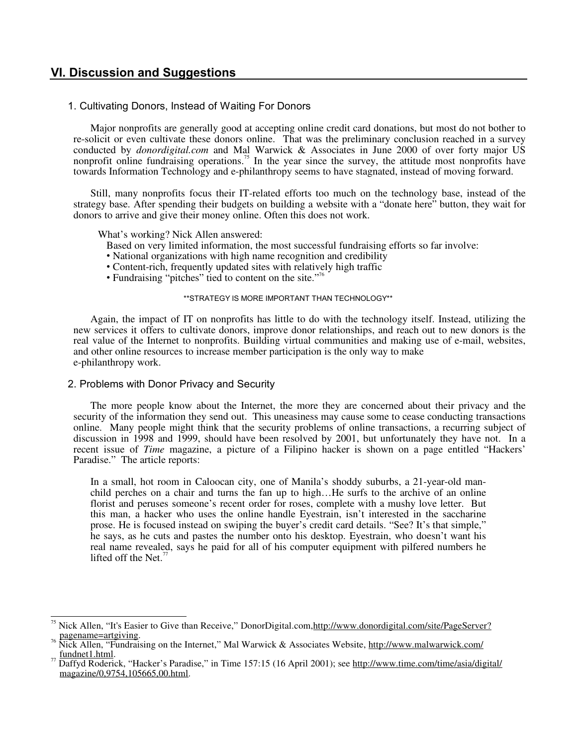# **VI. Discussion and Suggestions**

# 1. Cultivating Donors, Instead of Waiting For Donors

Major nonprofits are generally good at accepting online credit card donations, but most do not bother to re-solicit or even cultivate these donors online. That was the preliminary conclusion reached in a survey conducted by *donordigital.com* and Mal Warwick & Associates in June 2000 of over forty major US nonprofit online fundraising operations.<sup>75</sup> In the year since the survey, the attitude most nonprofits have towards Information Technology and e-philanthropy seems to have stagnated, instead of moving forward.

Still, many nonprofits focus their IT-related efforts too much on the technology base, instead of the strategy base. After spending their budgets on building a website with a "donate here" button, they wait for donors to arrive and give their money online. Often this does not work.

What's working? Nick Allen answered:

- Based on very limited information, the most successful fundraising efforts so far involve:
- National organizations with high name recognition and credibility
- Content-rich, frequently updated sites with relatively high traffic
- Fundraising "pitches" tied to content on the site."<sup>7</sup>

#### \*\*STRATEGY IS MORE IMPORTANT THAN TECHNOLOGY\*\*

Again, the impact of IT on nonprofits has little to do with the technology itself. Instead, utilizing the new services it offers to cultivate donors, improve donor relationships, and reach out to new donors is the real value of the Internet to nonprofits. Building virtual communities and making use of e-mail, websites, and other online resources to increase member participation is the only way to make e-philanthropy work.

# 2. Problems with Donor Privacy and Security

 $\overline{1}$ 

The more people know about the Internet, the more they are concerned about their privacy and the security of the information they send out. This uneasiness may cause some to cease conducting transactions online. Many people might think that the security problems of online transactions, a recurring subject of discussion in 1998 and 1999, should have been resolved by 2001, but unfortunately they have not. In a recent issue of *Time* magazine, a picture of a Filipino hacker is shown on a page entitled "Hackers' Paradise." The article reports:

In a small, hot room in Caloocan city, one of Manila's shoddy suburbs, a 21-year-old manchild perches on a chair and turns the fan up to high…He surfs to the archive of an online florist and peruses someone's recent order for roses, complete with a mushy love letter. But this man, a hacker who uses the online handle Eyestrain, isn't interested in the saccharine prose. He is focused instead on swiping the buyer's credit card details. "See? It's that simple," he says, as he cuts and pastes the number onto his desktop. Eyestrain, who doesn't want his real name revealed, says he paid for all of his computer equipment with pilfered numbers he lifted off the Net.<sup>7</sup>

Nick Allen, "It's Easier to Give than Receive," DonorDigital.com, http://www.donordigital.com/site/PageServer?<br>pagename=artgiving.

<sup>&</sup>lt;sup>76</sup> Nick Allen, "Fundraising on the Internet," Mal Warwick & Associates Website, http://www.malwarwick.com/<br>
Independent Unit

Daffyd Roderick, "Hacker's Paradise," in Time 157:15 (16 April 2001); see http://www.time.com/time/asia/digital/ magazine/0,9754,105665,00.html.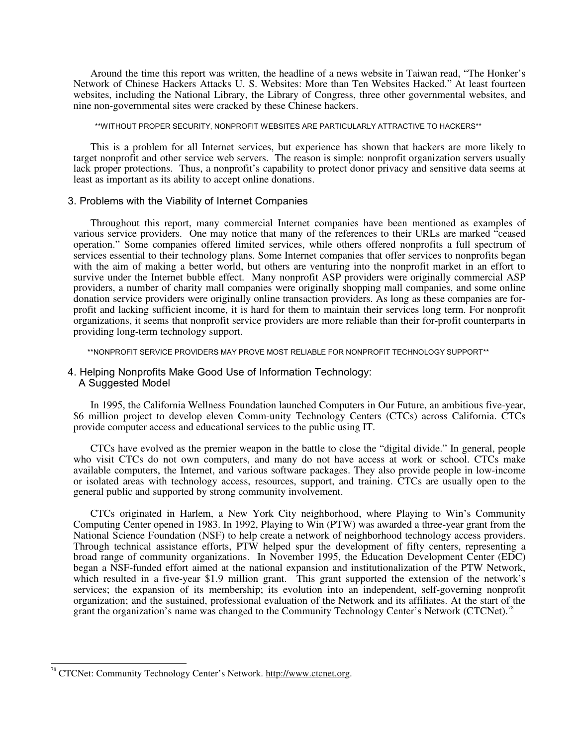Around the time this report was written, the headline of a news website in Taiwan read, "The Honker's Network of Chinese Hackers Attacks U. S. Websites: More than Ten Websites Hacked." At least fourteen websites, including the National Library, the Library of Congress, three other governmental websites, and nine non-governmental sites were cracked by these Chinese hackers.

\*\*WITHOUT PROPER SECURITY, NONPROFIT WEBSITES ARE PARTICULARLY ATTRACTIVE TO HACKERS\*\*

This is a problem for all Internet services, but experience has shown that hackers are more likely to target nonprofit and other service web servers. The reason is simple: nonprofit organization servers usually lack proper protections. Thus, a nonprofit's capability to protect donor privacy and sensitive data seems at least as important as its ability to accept online donations.

# 3. Problems with the Viability of Internet Companies

Throughout this report, many commercial Internet companies have been mentioned as examples of various service providers. One may notice that many of the references to their URLs are marked "ceased operation." Some companies offered limited services, while others offered nonprofits a full spectrum of services essential to their technology plans. Some Internet companies that offer services to nonprofits began with the aim of making a better world, but others are venturing into the nonprofit market in an effort to survive under the Internet bubble effect. Many nonprofit ASP providers were originally commercial ASP providers, a number of charity mall companies were originally shopping mall companies, and some online donation service providers were originally online transaction providers. As long as these companies are forprofit and lacking sufficient income, it is hard for them to maintain their services long term. For nonprofit organizations, it seems that nonprofit service providers are more reliable than their for-profit counterparts in providing long-term technology support.

\*\*NONPROFIT SERVICE PROVIDERS MAY PROVE MOST RELIABLE FOR NONPROFIT TECHNOLOGY SUPPORT\*\*

#### 4. Helping Nonprofits Make Good Use of Information Technology: A Suggested Model

In 1995, the California Wellness Foundation launched Computers in Our Future, an ambitious five-year, \$6 million project to develop eleven Comm-unity Technology Centers (CTCs) across California. CTCs provide computer access and educational services to the public using IT.

CTCs have evolved as the premier weapon in the battle to close the "digital divide." In general, people who visit CTCs do not own computers, and many do not have access at work or school. CTCs make available computers, the Internet, and various software packages. They also provide people in low-income or isolated areas with technology access, resources, support, and training. CTCs are usually open to the general public and supported by strong community involvement.

CTCs originated in Harlem, a New York City neighborhood, where Playing to Win's Community Computing Center opened in 1983. In 1992, Playing to Win (PTW) was awarded a three-year grant from the National Science Foundation (NSF) to help create a network of neighborhood technology access providers. Through technical assistance efforts, PTW helped spur the development of fifty centers, representing a broad range of community organizations. In November 1995, the Education Development Center (EDC) began a NSF-funded effort aimed at the national expansion and institutionalization of the PTW Network, which resulted in a five-year \$1.9 million grant. This grant supported the extension of the network's services; the expansion of its membership; its evolution into an independent, self-governing nonprofit organization; and the sustained, professional evaluation of the Network and its affiliates. At the start of the grant the organization's name was changed to the Community Technology Center's Network (CTCNet).<sup>78</sup>

 $\overline{1}$ <sup>78</sup> CTCNet: Community Technology Center's Network. http://www.ctcnet.org.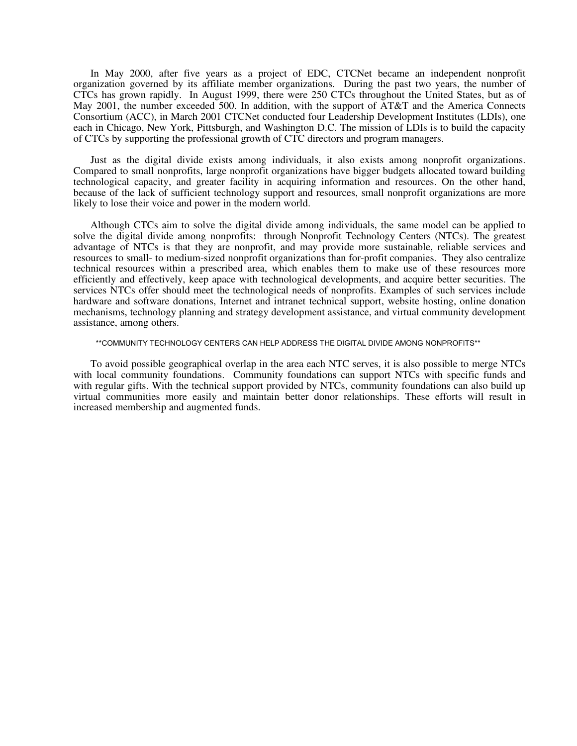In May 2000, after five years as a project of EDC, CTCNet became an independent nonprofit organization governed by its affiliate member organizations. During the past two years, the number of CTCs has grown rapidly. In August 1999, there were 250 CTCs throughout the United States, but as of May 2001, the number exceeded 500. In addition, with the support of AT&T and the America Connects Consortium (ACC), in March 2001 CTCNet conducted four Leadership Development Institutes (LDIs), one each in Chicago, New York, Pittsburgh, and Washington D.C. The mission of LDIs is to build the capacity of CTCs by supporting the professional growth of CTC directors and program managers.

Just as the digital divide exists among individuals, it also exists among nonprofit organizations. Compared to small nonprofits, large nonprofit organizations have bigger budgets allocated toward building technological capacity, and greater facility in acquiring information and resources. On the other hand, because of the lack of sufficient technology support and resources, small nonprofit organizations are more likely to lose their voice and power in the modern world.

Although CTCs aim to solve the digital divide among individuals, the same model can be applied to solve the digital divide among nonprofits: through Nonprofit Technology Centers (NTCs). The greatest advantage of NTCs is that they are nonprofit, and may provide more sustainable, reliable services and resources to small- to medium-sized nonprofit organizations than for-profit companies. They also centralize technical resources within a prescribed area, which enables them to make use of these resources more efficiently and effectively, keep apace with technological developments, and acquire better securities. The services NTCs offer should meet the technological needs of nonprofits. Examples of such services include hardware and software donations, Internet and intranet technical support, website hosting, online donation mechanisms, technology planning and strategy development assistance, and virtual community development assistance, among others.

#### \*\*COMMUNITY TECHNOLOGY CENTERS CAN HELP ADDRESS THE DIGITAL DIVIDE AMONG NONPROFITS\*\*

To avoid possible geographical overlap in the area each NTC serves, it is also possible to merge NTCs with local community foundations. Community foundations can support NTCs with specific funds and with regular gifts. With the technical support provided by NTCs, community foundations can also build up virtual communities more easily and maintain better donor relationships. These efforts will result in increased membership and augmented funds.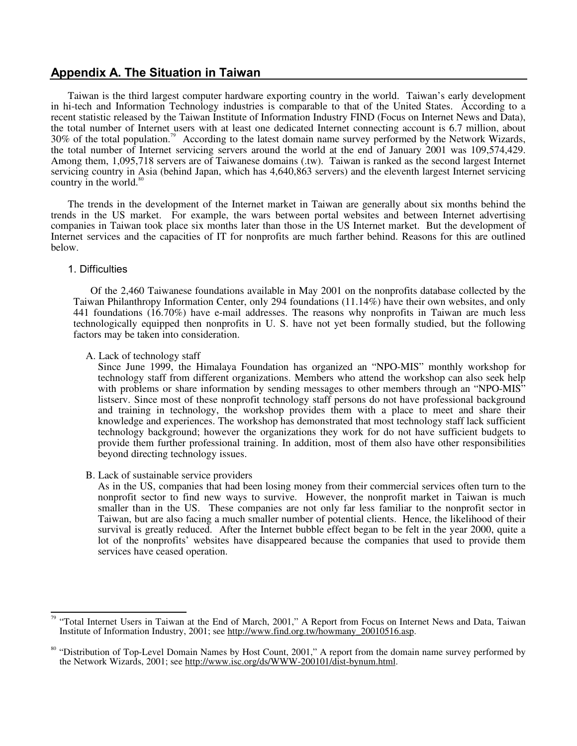# **Appendix A. The Situation in Taiwan**

Taiwan is the third largest computer hardware exporting country in the world. Taiwan's early development in hi-tech and Information Technology industries is comparable to that of the United States. According to a recent statistic released by the Taiwan Institute of Information Industry FIND (Focus on Internet News and Data), the total number of Internet users with at least one dedicated Internet connecting account is 6.7 million, about 30% of the total population.<sup>79</sup> According to the latest domain name survey performed by the Network Wizards, the total number of Internet servicing servers around the world at the end of January 2001 was 109,574,429. Among them, 1,095,718 servers are of Taiwanese domains (.tw). Taiwan is ranked as the second largest Internet servicing country in Asia (behind Japan, which has 4,640,863 servers) and the eleventh largest Internet servicing country in the world.<sup>80</sup>

The trends in the development of the Internet market in Taiwan are generally about six months behind the trends in the US market. For example, the wars between portal websites and between Internet advertising companies in Taiwan took place six months later than those in the US Internet market. But the development of Internet services and the capacities of IT for nonprofits are much farther behind. Reasons for this are outlined below.

# 1. Difficulties

Of the 2,460 Taiwanese foundations available in May 2001 on the nonprofits database collected by the Taiwan Philanthropy Information Center, only 294 foundations (11.14%) have their own websites, and only 441 foundations  $(16.70\%)$  have e-mail addresses. The reasons why nonprofits in Taiwan are much less technologically equipped then nonprofits in U. S. have not yet been formally studied, but the following factors may be taken into consideration.

#### A. Lack of technology staff

Since June 1999, the Himalaya Foundation has organized an "NPO-MIS" monthly workshop for technology staff from different organizations. Members who attend the workshop can also seek help with problems or share information by sending messages to other members through an "NPO-MIS" listserv. Since most of these nonprofit technology staff persons do not have professional background and training in technology, the workshop provides them with a place to meet and share their knowledge and experiences. The workshop has demonstrated that most technology staff lack sufficient technology background; however the organizations they work for do not have sufficient budgets to provide them further professional training. In addition, most of them also have other responsibilities beyond directing technology issues.

#### B. Lack of sustainable service providers

As in the US, companies that had been losing money from their commercial services often turn to the nonprofit sector to find new ways to survive. However, the nonprofit market in Taiwan is much smaller than in the US. These companies are not only far less familiar to the nonprofit sector in Taiwan, but are also facing a much smaller number of potential clients. Hence, the likelihood of their survival is greatly reduced. After the Internet bubble effect began to be felt in the year 2000, quite a lot of the nonprofits' websites have disappeared because the companies that used to provide them services have ceased operation.

 $\overline{a}$ <sup>79</sup> "Total Internet Users in Taiwan at the End of March, 2001," A Report from Focus on Internet News and Data, Taiwan Institute of Information Industry, 2001; see http://www.find.org.tw/howmany\_20010516.asp.

<sup>&</sup>lt;sup>80</sup> "Distribution of Top-Level Domain Names by Host Count, 2001," A report from the domain name survey performed by the Network Wizards, 2001; see http://www.isc.org/ds/WWW-200101/dist-bynum.html.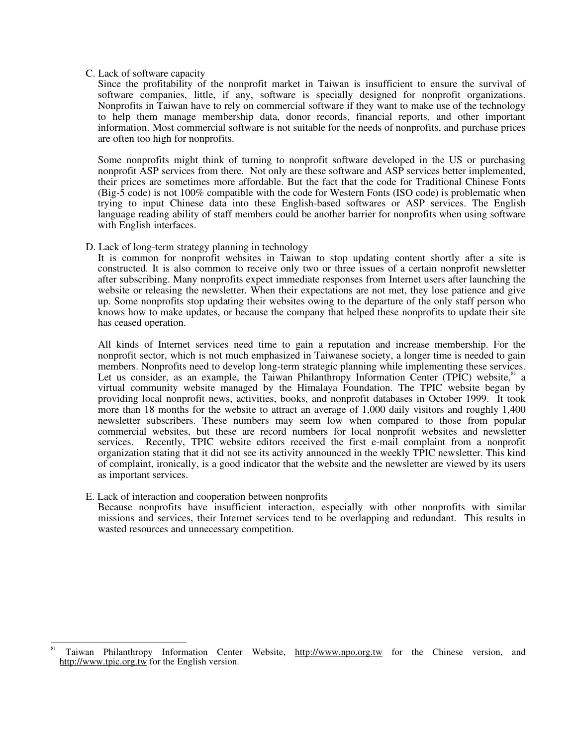#### C. Lack of software capacity

Since the profitability of the nonprofit market in Taiwan is insufficient to ensure the survival of software companies, little, if any, software is specially designed for nonprofit organizations. Nonprofits in Taiwan have to rely on commercial software if they want to make use of the technology to help them manage membership data, donor records, financial reports, and other important information. Most commercial software is not suitable for the needs of nonprofits, and purchase prices are often too high for nonprofits.

Some nonprofits might think of turning to nonprofit software developed in the US or purchasing nonprofit ASP services from there. Not only are these software and ASP services better implemented, their prices are sometimes more affordable. But the fact that the code for Traditional Chinese Fonts (Big-5 code) is not 100% compatible with the code for Western Fonts (ISO code) is problematic when trying to input Chinese data into these English-based softwares or ASP services. The English language reading ability of staff members could be another barrier for nonprofits when using software with English interfaces.

# D. Lack of long-term strategy planning in technology

It is common for nonprofit websites in Taiwan to stop updating content shortly after a site is constructed. It is also common to receive only two or three issues of a certain nonprofit newsletter after subscribing. Many nonprofits expect immediate responses from Internet users after launching the website or releasing the newsletter. When their expectations are not met, they lose patience and give up. Some nonprofits stop updating their websites owing to the departure of the only staff person who knows how to make updates, or because the company that helped these nonprofits to update their site has ceased operation.

All kinds of Internet services need time to gain a reputation and increase membership. For the nonprofit sector, which is not much emphasized in Taiwanese society, a longer time is needed to gain members. Nonprofits need to develop long-term strategic planning while implementing these services. Let us consider, as an example, the Taiwan Philanthropy Information Center (TPIC) website,<sup>81</sup> a virtual community website managed by the Himalaya Foundation. The TPIC website began by providing local nonprofit news, activities, books, and nonprofit databases in October 1999. It took more than 18 months for the website to attract an average of 1,000 daily visitors and roughly 1,400 newsletter subscribers. These numbers may seem low when compared to those from popular commercial websites, but these are record numbers for local nonprofit websites and newsletter services. Recently, TPIC website editors received the first e-mail complaint from a nonprofit organization stating that it did not see its activity announced in the weekly TPIC newsletter. This kind of complaint, ironically, is a good indicator that the website and the newsletter are viewed by its users as important services.

E. Lack of interaction and cooperation between nonprofits Because nonprofits have insufficient interaction, especially with other nonprofits with similar

missions and services, their Internet services tend to be overlapping and redundant. This results in wasted resources and unnecessary competition.

 $\overline{a}$ Taiwan Philanthropy Information Center Website, http://www.npo.org.tw for the Chinese version, and http://www.tpic.org.tw for the English version.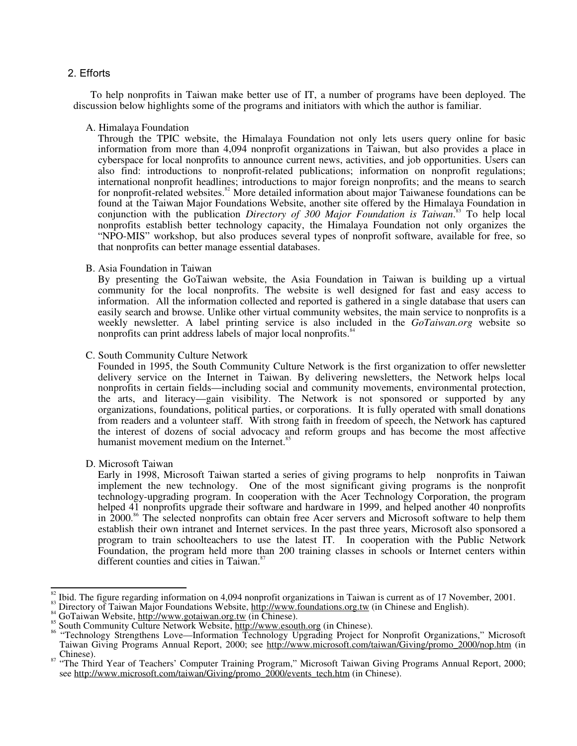# 2. Efforts

To help nonprofits in Taiwan make better use of IT, a number of programs have been deployed. The discussion below highlights some of the programs and initiators with which the author is familiar.

A. Himalaya Foundation

Through the TPIC website, the Himalaya Foundation not only lets users query online for basic information from more than 4,094 nonprofit organizations in Taiwan, but also provides a place in cyberspace for local nonprofits to announce current news, activities, and job opportunities. Users can also find: introductions to nonprofit-related publications; information on nonprofit regulations; international nonprofit headlines; introductions to major foreign nonprofits; and the means to search for nonprofit-related websites.<sup>82</sup> More detailed information about major Taiwanese foundations can be found at the Taiwan Major Foundations Website, another site offered by the Himalaya Foundation in conjunction with the publication *Directory of 300 Major Foundation is Taiwan*. 83 To help local nonprofits establish better technology capacity, the Himalaya Foundation not only organizes the "NPO-MIS" workshop, but also produces several types of nonprofit software, available for free, so that nonprofits can better manage essential databases.

B. Asia Foundation in Taiwan

By presenting the GoTaiwan website, the Asia Foundation in Taiwan is building up a virtual community for the local nonprofits. The website is well designed for fast and easy access to information. All the information collected and reported is gathered in a single database that users can easily search and browse. Unlike other virtual community websites, the main service to nonprofits is a weekly newsletter. A label printing service is also included in the *GoTaiwan.org* website so nonprofits can print address labels of major local nonprofits.<sup>84</sup>

C. South Community Culture Network

Founded in 1995, the South Community Culture Network is the first organization to offer newsletter delivery service on the Internet in Taiwan. By delivering newsletters, the Network helps local nonprofits in certain fields—including social and community movements, environmental protection, the arts, and literacy—gain visibility. The Network is not sponsored or supported by any organizations, foundations, political parties, or corporations. It is fully operated with small donations from readers and a volunteer staff. With strong faith in freedom of speech, the Network has captured the interest of dozens of social advocacy and reform groups and has become the most affective humanist movement medium on the Internet.<sup>8</sup>

D. Microsoft Taiwan

Early in 1998, Microsoft Taiwan started a series of giving programs to help nonprofits in Taiwan implement the new technology. One of the most significant giving programs is the nonprofit technology-upgrading program. In cooperation with the Acer Technology Corporation, the program helped 41 nonprofits upgrade their software and hardware in 1999, and helped another 40 nonprofits in 2000.<sup>86</sup> The selected nonprofits can obtain free Acer servers and Microsoft software to help them establish their own intranet and Internet services. In the past three years, Microsoft also sponsored a program to train schoolteachers to use the latest IT. In cooperation with the Public Network Foundation, the program held more than 200 training classes in schools or Internet centers within different counties and cities in Taiwan.<sup>87</sup>

 $\frac{1}{2}$ 

<sup>&</sup>lt;sup>82</sup> Ibid. The figure regarding information on 4,094 nonprofit organizations in Taiwan is current as of 17 November, 2001.<br><sup>83</sup> Directory of Taiwan Major Foundations Website, <u>http://www.foundations.org.tw</u> (in Chinese an Taiwan Giving Programs Annual Report, 2000; see http://www.microsoft.com/taiwan/Giving/promo\_2000/nop.htm (in<br>Chinese).

<sup>&</sup>lt;sup>87</sup> "The Third Year of Teachers' Computer Training Program," Microsoft Taiwan Giving Programs Annual Report, 2000; see http://www.microsoft.com/taiwan/Giving/promo\_2000/events\_tech.htm (in Chinese).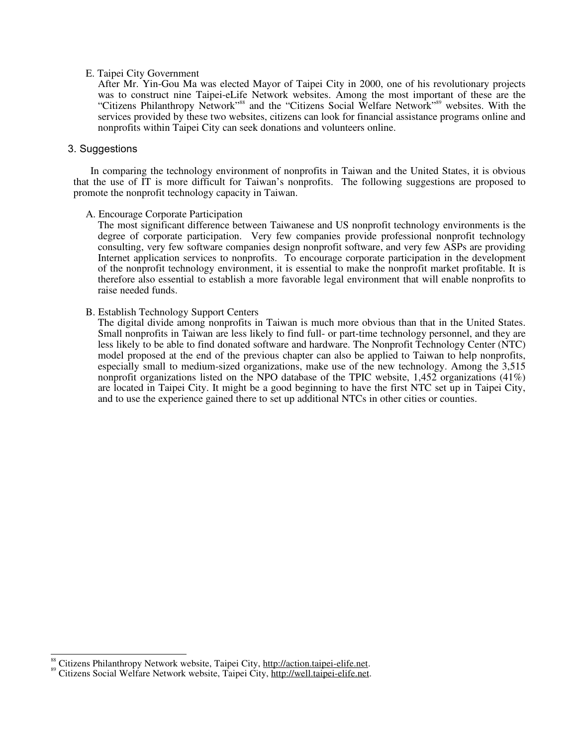#### E. Taipei City Government

After Mr. Yin-Gou Ma was elected Mayor of Taipei City in 2000, one of his revolutionary projects was to construct nine Taipei-eLife Network websites. Among the most important of these are the "Citizens Philanthropy Network"<sup>88</sup> and the "Citizens Social Welfare Network"<sup>89</sup> websites. With the services provided by these two websites, citizens can look for financial assistance programs online and nonprofits within Taipei City can seek donations and volunteers online.

# 3. Suggestions

 $\frac{1}{2}$ 

In comparing the technology environment of nonprofits in Taiwan and the United States, it is obvious that the use of IT is more difficult for Taiwan's nonprofits. The following suggestions are proposed to promote the nonprofit technology capacity in Taiwan.

#### A. Encourage Corporate Participation

The most significant difference between Taiwanese and US nonprofit technology environments is the degree of corporate participation. Very few companies provide professional nonprofit technology consulting, very few software companies design nonprofit software, and very few ASPs are providing Internet application services to nonprofits. To encourage corporate participation in the development of the nonprofit technology environment, it is essential to make the nonprofit market profitable. It is therefore also essential to establish a more favorable legal environment that will enable nonprofits to raise needed funds.

# B. Establish Technology Support Centers

The digital divide among nonprofits in Taiwan is much more obvious than that in the United States. Small nonprofits in Taiwan are less likely to find full- or part-time technology personnel, and they are less likely to be able to find donated software and hardware. The Nonprofit Technology Center (NTC) model proposed at the end of the previous chapter can also be applied to Taiwan to help nonprofits, especially small to medium-sized organizations, make use of the new technology. Among the 3,515 nonprofit organizations listed on the NPO database of the TPIC website,  $1,452$  organizations (41%) are located in Taipei City. It might be a good beginning to have the first NTC set up in Taipei City, and to use the experience gained there to set up additional NTCs in other cities or counties.

Citizens Philanthropy Network website, Taipei City, http://action.taipei-elife.net.<br>Citizens Social Welfare Network website, Taipei City, http://well.taipei-elife.net.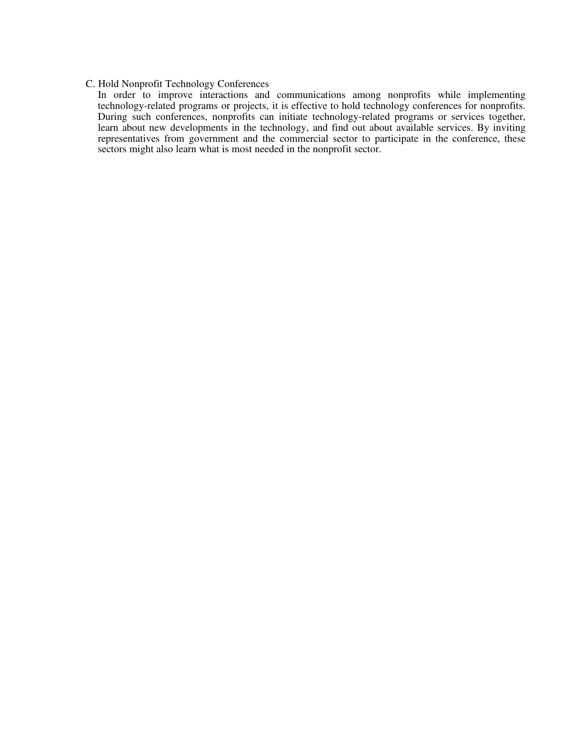# C. Hold Nonprofit Technology Conferences

In order to improve interactions and communications among nonprofits while implementing technology-related programs or projects, it is effective to hold technology conferences for nonprofits. During such conferences, nonprofits can initiate technology-related programs or services together, learn about new developments in the technology, and find out about available services. By inviting representatives from government and the commercial sector to participate in the conference, these sectors might also learn what is most needed in the nonprofit sector.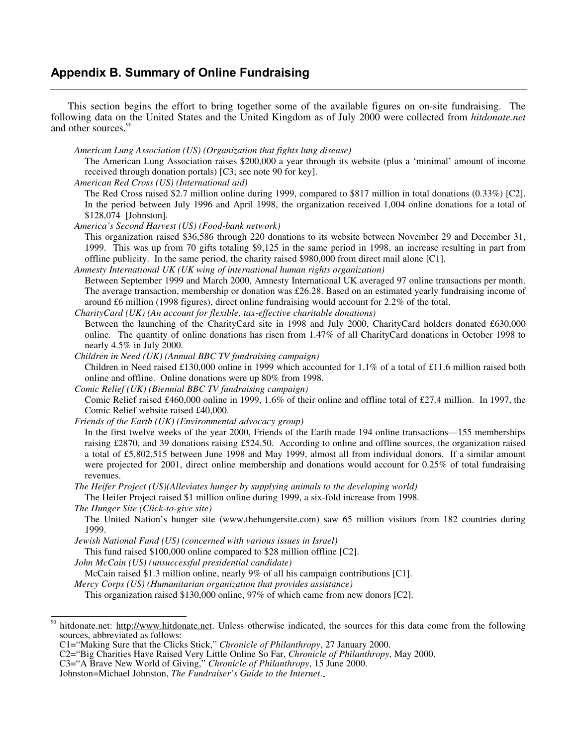# **Appendix B. Summary of Online Fundraising**

This section begins the effort to bring together some of the available figures on on-site fundraising. The following data on the United States and the United Kingdom as of July 2000 were collected from *hitdonate.net* and other sources.<sup>90</sup>

*American Lung Association (US) (Organization that fights lung disease)* 

The American Lung Association raises \$200,000 a year through its website (plus a 'minimal' amount of income received through donation portals) [C3; see note 90 for key].

*American Red Cross (US) (International aid)* 

The Red Cross raised \$2.7 million online during 1999, compared to \$817 million in total donations (0.33%) [C2]. In the period between July 1996 and April 1998, the organization received 1,004 online donations for a total of \$128,074 [Johnston].

*America's Second Harvest (US) (Food-bank network)* 

This organization raised \$36,586 through 220 donations to its website between November 29 and December 31, 1999. This was up from 70 gifts totaling \$9,125 in the same period in 1998, an increase resulting in part from offline publicity. In the same period, the charity raised \$980,000 from direct mail alone [C1].

*Amnesty International UK (UK wing of international human rights organization)* 

Between September 1999 and March 2000, Amnesty International UK averaged 97 online transactions per month. The average transaction, membership or donation was £26.28. Based on an estimated yearly fundraising income of around £6 million (1998 figures), direct online fundraising would account for 2.2% of the total.

*CharityCard (UK) (An account for flexible, tax-effective charitable donations)*  Between the launching of the CharityCard site in 1998 and July 2000, CharityCard holders donated £630,000 online. The quantity of online donations has risen from 1.47% of all CharityCard donations in October 1998 to nearly 4.5% in July 2000.

*Children in Need (UK) (Annual BBC TV fundraising campaign)* 

Children in Need raised £130,000 online in 1999 which accounted for 1.1% of a total of £11.6 million raised both online and offline. Online donations were up 80% from 1998.

*Comic Relief (UK) (Biennial BBC TV fundraising campaign)* 

Comic Relief raised £460,000 online in 1999, 1.6% of their online and offline total of £27.4 million. In 1997, the Comic Relief website raised £40,000.

*Friends of the Earth (UK) (Environmental advocacy group)* 

In the first twelve weeks of the year 2000, Friends of the Earth made 194 online transactions—155 memberships raising £2870, and 39 donations raising £524.50. According to online and offline sources, the organization raised a total of £5,802,515 between June 1998 and May 1999, almost all from individual donors. If a similar amount were projected for 2001, direct online membership and donations would account for 0.25% of total fundraising revenues.

*The Heifer Project (US)(Alleviates hunger by supplying animals to the developing world)* 

The Heifer Project raised \$1 million online during 1999, a six-fold increase from 1998.

*The Hunger Site (Click-to-give site)* 

 $\overline{a}$ 

The United Nation's hunger site (www.thehungersite.com) saw 65 million visitors from 182 countries during 1999.

*Jewish National Fund (US) (concerned with various issues in Israel)* 

This fund raised \$100,000 online compared to \$28 million offline [C2].

*John McCain (US) (unsuccessful presidential candidate)* 

McCain raised \$1.3 million online, nearly 9% of all his campaign contributions [C1].

*Mercy Corps (US) (Humanitarian organization that provides assistance)* 

This organization raised \$130,000 online, 97% of which came from new donors [C2].

hitdonate.net: http://www.hitdonate.net. Unless otherwise indicated, the sources for this data come from the following sources, abbreviated as follows:

C1="Making Sure that the Clicks Stick," *Chronicle of Philanthropy*, 27 January 2000.

C2="Big Charities Have Raised Very Little Online So Far, *Chronicle of Philanthropy*, May 2000.

C3="A Brave New World of Giving," *Chronicle of Philanthropy*, 15 June 2000.

Johnston=Michael Johnston, *The Fundraiser's Guide to the Internet*.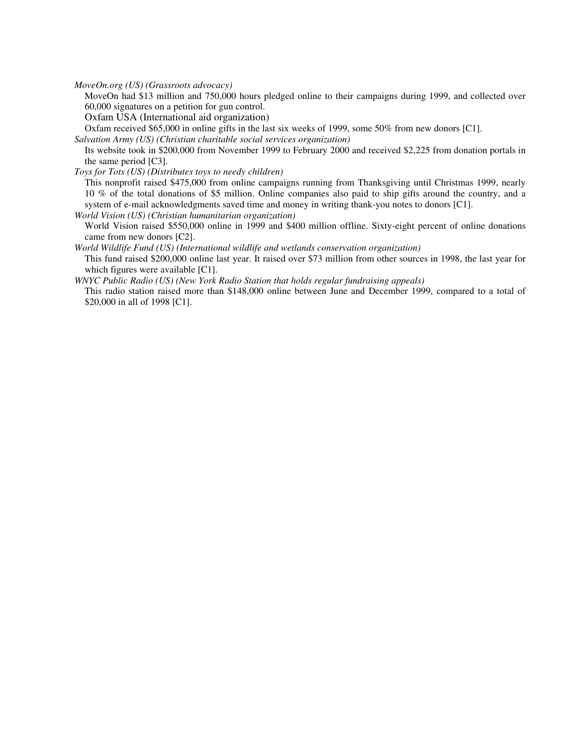*MoveOn.org (US) (Grassroots advocacy)* 

MoveOn had \$13 million and 750,000 hours pledged online to their campaigns during 1999, and collected over 60,000 signatures on a petition for gun control.

Oxfam USA (International aid organization)

Oxfam received \$65,000 in online gifts in the last six weeks of 1999, some 50% from new donors [C1].

*Salvation Army (US) (Christian charitable social services organization)* 

Its website took in \$200,000 from November 1999 to February 2000 and received \$2,225 from donation portals in the same period [C3].

*Toys for Tots (US) (Distributes toys to needy children)* 

This nonprofit raised \$475,000 from online campaigns running from Thanksgiving until Christmas 1999, nearly 10 % of the total donations of \$5 million. Online companies also paid to ship gifts around the country, and a system of e-mail acknowledgments saved time and money in writing thank-you notes to donors [C1].

*World Vision (US) (Christian humanitarian organization)* 

World Vision raised \$550,000 online in 1999 and \$400 million offline. Sixty-eight percent of online donations came from new donors [C2].

*World Wildlife Fund (US) (International wildlife and wetlands conservation organization)* 

This fund raised \$200,000 online last year. It raised over \$73 million from other sources in 1998, the last year for which figures were available [C1].

*WNYC Public Radio (US) (New York Radio Station that holds regular fundraising appeals)* 

This radio station raised more than \$148,000 online between June and December 1999, compared to a total of \$20,000 in all of 1998 [C1].